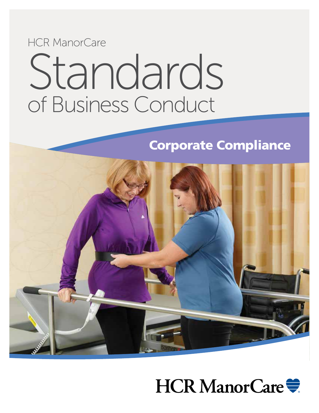# Standards HCR ManorCare of Business Conduct

# Corporate Compliance



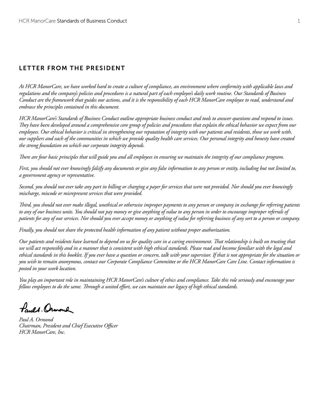### Letter from the President

*At HCR ManorCare, we have worked hard to create a culture of compliance, an environment where conformity with applicable laws and regulations and the company's policies and procedures is a natural part of each employee's daily work routine. Our Standards of Business Conduct are the framework that guides our actions, and it is the responsibility of each HCR ManorCare employee to read, understand and embrace the principles contained in this document.*

*HCR ManorCare's Standards of Business Conduct outline appropriate business conduct and tools to answer questions and respond to issues. They have been developed around a comprehensive core group of policies and procedures that explain the ethical behavior we expect from our employees. Our ethical behavior is critical in strengthening our reputation of integrity with our patients and residents, those we work with, our suppliers and each of the communities in which we provide quality health care services. Our personal integrity and honesty have created the strong foundation on which our corporate integrity depends.*

*There are four basic principles that will guide you and all employees in ensuring we maintain the integrity of our compliance program.* 

*First, you should not ever knowingly falsify any documents or give any false information to any person or entity, including but not limited to, a government agency or representative.*

*Second, you should not ever take any part in billing or charging a payer for services that were not provided. Nor should you ever knowingly mischarge, miscode or misrepresent services that were provided.*

*Third, you should not ever make illegal, unethical or otherwise improper payments to any person or company in exchange for referring patients to any of our business units. You should not pay money or give anything of value to any person in order to encourage improper referrals of patients for any of our services. Nor should you ever accept money or anything of value for referring business of any sort to a person or company.* 

*Finally, you should not share the protected health information of any patient without proper authorization.* 

*Our patients and residents have learned to depend on us for quality care in a caring environment. That relationship is built on trusting that we will act responsibly and in a manner that is consistent with high ethical standards. Please read and become familiar with the legal and ethical standards in this booklet. If you ever have a question or concern, talk with your supervisor. If that is not appropriate for the situation or you wish to remain anonymous, contact our Corporate Compliance Committee or the HCR ManorCare Care Line. Contact information is posted in your work location.* 

*You play an important role in maintaining HCR ManorCare's culture of ethics and compliance. Take this role seriously and encourage your fellow employees to do the same. Through a united effort, we can maintain our legacy of high ethical standards.* 

*Lauge Ormond* 

*Paul A. Ormond Chairman, President and Chief Executive Officer HCR ManorCare, Inc.*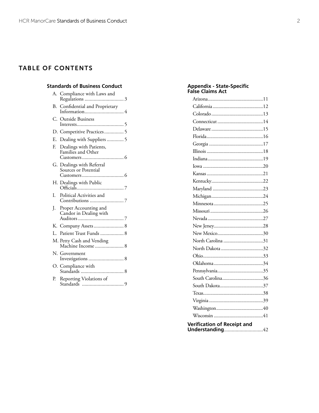### Tab le Of Contents

### **Standards of Business Conduct**

|     | A. Compliance with Laws and                       |
|-----|---------------------------------------------------|
|     | B. Confidential and Proprietary                   |
|     | C. Outside Business                               |
|     | D. Competitive Practices 5                        |
| E.  | Dealing with Suppliers  5                         |
| E.  | Dealings with Patients,<br>Families and Other     |
|     | G. Dealings with Referral<br>Sources or Potential |
|     |                                                   |
| L   | Political Activities and                          |
| J.  | Proper Accounting and<br>Candor in Dealing with   |
|     | K. Company Assets 8                               |
| Ī., | Patient Trust Funds  8                            |
|     | M. Petty Cash and Vending<br>Machine Income  8    |
|     | N. Government<br>Investigations  8                |
|     | O. Compliance with                                |
| Р.  | Reporting Violations of                           |

#### **Appendix - State-Specific False Claims Act**

| <b>Verification of Receipt and</b> |  |  |
|------------------------------------|--|--|

**Understanding**..............................42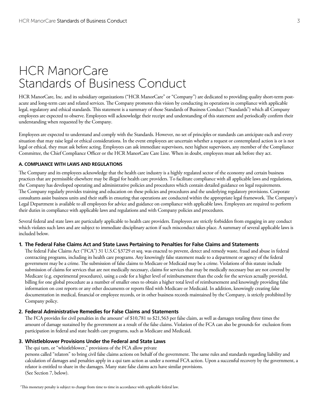# HCR ManorCare Standards of Business Conduct

HCR ManorCare, Inc. and its subsidiary organizations ("HCR ManorCare" or "Company") are dedicated to providing quality short-term postacute and long-term care and related services. The Company promotes this vision by conducting its operations in compliance with applicable legal, regulatory and ethical standards. This statement is a summary of those Standards of Business Conduct ("Standards") which all Company employees are expected to observe. Employees will acknowledge their receipt and understanding of this statement and periodically confirm their understanding when requested by the Company.

Employees are expected to understand and comply with the Standards. However, no set of principles or standards can anticipate each and every situation that may raise legal or ethical considerations. In the event employees are uncertain whether a request or contemplated action is or is not legal or ethical, they must ask before acting. Employees can ask immediate supervisors, next highest supervisors, any member of the Compliance Committee, the Chief Compliance Officer or the HCR ManorCare Care Line. When in doubt, employees must ask before they act.

#### **A. COMPLIANCE WITH LAWS AND REGULATIONS**

The Company and its employees acknowledge that the health care industry is a highly regulated sector of the economy and certain business practices that are permissible elsewhere may be illegal for health care providers. To facilitate compliance with all applicable laws and regulations, the Company has developed operating and administrative policies and procedures which contain detailed guidance on legal requirements. The Company regularly provides training and education on these policies and procedures and the underlying regulatory provisions. Corporate consultants assist business units and their staffs in ensuring that operations are conducted within the appropriate legal framework. The Company's Legal Department is available to all employees for advice and guidance on compliance with applicable laws. Employees are required to perform their duties in compliance with applicable laws and regulations and with Company policies and procedures.

Several federal and state laws are particularly applicable to health care providers. Employees are strictly forbidden from engaging in any conduct which violates such laws and are subject to immediate disciplinary action if such misconduct takes place. A summary of several applicable laws is included below.

#### **1. The Federal False Claims Act and State Laws Pertaining to Penalties for False Claims and Statements**

The federal False Claims Act ("FCA") 31 U.S.C §3729 et seq. was enacted to prevent, detect and remedy waste, fraud and abuse in federal contracting programs, including its health care programs. Any knowingly false statement made to a department or agency of the federal government may be a crime. The submission of false claims to Medicare or Medicaid may be a crime. Violations of this statute include submission of claims for services that are not medically necessary, claims for services that may be medically necessary but are not covered by Medicare (e.g. experimental procedures), using a code for a higher level of reimbursement than the code for the services actually provided, billing for one global procedure as a number of smaller ones to obtain a higher total level of reimbursement and knowingly providing false information on cost reports or any other documents or reports filed with Medicare or Medicaid. In addition, knowingly creating false documentation in medical, financial or employee records, or in other business records maintained by the Company, is strictly prohibited by Company policy.

#### **2. Federal Administrative Remedies for False Claims and Statements**

The FCA provides for civil penalties in the amount<sup>1</sup> of \$10,781 to \$21,563 per false claim, as well as damages totaling three times the amount of damage sustained by the government as a result of the false claims. Violation of the FCA can also be grounds for exclusion from participation in federal and state health care programs, such as Medicare and Medicaid.

#### **3. Whistleblower Provisions Under the Federal and State Laws**

The qui tam, or "whistleblower," provisions of the FCA allow private

persons called "relators" to bring civil false claims actions on behalf of the government. The same rules and standards regarding liability and calculation of damages and penalties apply in a qui tam action as under a normal FCA action. Upon a successful recovery by the government, a relator is entitled to share in the damages. Many state false claims acts have similar provisions. (See Section 7, below).

1 This monetary penalty is subject to change from time to time in accordance with applicable federal law.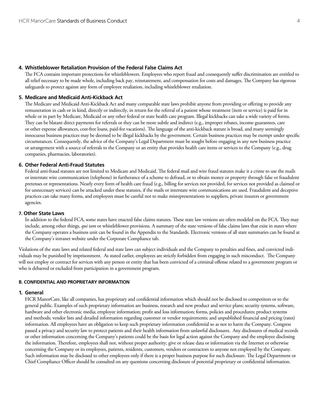#### **4. Whistleblower Retaliation Provision of the Federal False Claims Act**

The FCA contains important protections for whistleblowers. Employees who report fraud and consequently suffer discrimination are entitled to all relief necessary to be made whole, including back pay, reinstatement, and compensation for costs and damages. The Company has rigorous safeguards to protect against any form of employee retaliation, including whistleblower retaliation.

#### **5. Medicare and Medicaid Anti-Kickback Act**

The Medicare and Medicaid Anti-Kickback Act and many comparable state laws prohibit anyone from providing or offering to provide any remuneration in cash or in kind, directly or indirectly, in return for the referral of a patient whose treatment (item or service) is paid for in whole or in part by Medicare, Medicaid or any other federal or state health care program. Illegal kickbacks can take a wide variety of forms. They can be blatant direct payments for referrals or they can be more subtle and indirect (e.g., improper rebates, income guarantees, care or other expense allowances, cost-free loans, paid-for vacations). The language of the anti-kickback statute is broad, and many seemingly innocuous business practices may be deemed to be illegal kickbacks by the government. Certain business practices may be exempt under specific circumstances. Consequently, the advice of the Company's Legal Department must be sought before engaging in any new business practice or arrangement with a source of referrals to the Company or an entity that provides health care items or services to the Company (e.g., drug companies, pharmacies, laboratories).

#### **6. Other Federal Anti-Fraud Statutes**

Federal anti-fraud statutes are not limited to Medicare and Medicaid. The federal mail and wire fraud statutes make it a crime to use the mails or interstate wire communication (telephone) in furtherance of a scheme to defraud, or to obtain money or property through false or fraudulent pretenses or representations. Nearly every form of health care fraud (e.g., billing for services not provided, for services not provided as claimed or for unnecessary services) can be attacked under these statutes, if the mails or interstate wire communications are used. Fraudulent and deceptive practices can take many forms, and employees must be careful not to make misrepresentations to suppliers, private insurers or government agencies.

#### **7. Other State Laws**

In addition to the federal FCA, some states have enacted false claims statutes. These state law versions are often modeled on the FCA. They may include, among other things, *qui tam* or whistleblower provisions. A summary of the state versions of false claims laws that exist in states where the Company operates a business unit can be found in the Appendix to the Standards. Electronic versions of all state summaries can be found at the Company's intranet website under the Corporate Compliance tab.

Violations of the state laws and related federal and state laws can subject individuals and the Company to penalties and fines, and convicted individuals may be punished by imprisonment. As stated earlier, employees are strictly forbidden from engaging in such misconduct. The Company will not employ or contract for services with any person or entity that has been convicted of a criminal offense related to a government program or who is debarred or excluded from participation in a government program.

#### **B. CONFIDENTIAL AND PROPRIETARY INFORMATION**

#### **1. General**

HCR ManorCare, like all companies, has proprietary and confidential information which should not be disclosed to competitors or to the general public. Examples of such proprietary information are business, research and new product and service plans; security systems, software, hardware and other electronic media; employee information; profit and loss information; forms, policies and procedures; product systems and methods; vendor lists and detailed information regarding customer or vendor requirements; and unpublished financial and pricing (rates) information. All employees have an obligation to keep such proprietary information confidential so as not to harm the Company. Congress passed a privacy and security law to protect patients and their health information from unlawful disclosures. Any disclosures of medical records or other information concerning the Company's patients could be the basis for legal action against the Company and the employee disclosing the information. Therefore, employees shall not, without proper authority, give or release data or information via the Internet or otherwise concerning the Company or its employees, patients, residents, customers, vendors or contractors to anyone not employed by the Company. Such information may be disclosed to other employees only if there is a proper business purpose for such disclosure. The Legal Department or Chief Compliance Officer should be consulted on any questions concerning disclosure of potential proprietary or confidential information.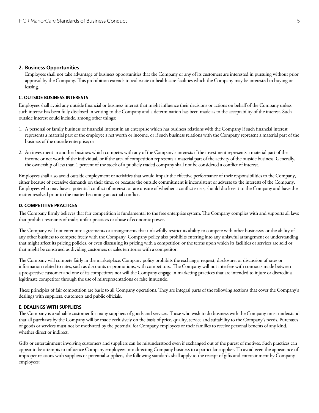#### **2. Business Opportunities**

Employees shall not take advantage of business opportunities that the Company or any of its customers are interested in pursuing without prior approval by the Company. This prohibition extends to real estate or health care facilities which the Company may be interested in buying or leasing.

#### **C. OUTSIDE BUSINESS INTERESTS**

Employees shall avoid any outside financial or business interest that might influence their decisions or actions on behalf of the Company unless such interest has been fully disclosed in writing to the Company and a determination has been made as to the acceptability of the interest. Such outside interest could include, among other things:

- 1. A personal or family business or financial interest in an enterprise which has business relations with the Company if such financial interest represents a material part of the employee's net worth or income, or if such business relations with the Company represent a material part of the business of the outside enterprise; or
- 2. An investment in another business which competes with any of the Company's interests if the investment represents a material part of the income or net worth of the individual, or if the area of competition represents a material part of the activity of the outside business. Generally, the ownership of less than 1 percent of the stock of a publicly traded company shall not be considered a conflict of interest.

Employees shall also avoid outside employment or activities that would impair the effective performance of their responsibilities to the Company, either because of excessive demands on their time, or because the outside commitment is inconsistent or adverse to the interests of the Company. Employees who may have a potential conflict of interest, or are unsure of whether a conflict exists, should disclose it to the Company and have the matter resolved prior to the matter becoming an actual conflict.

#### **D. COMPETITIVE PRACTICES**

The Company firmly believes that fair competition is fundamental to the free enterprise system. The Company complies with and supports all laws that prohibit restraints of trade, unfair practices or abuse of economic power.

The Company will not enter into agreements or arrangements that unlawfully restrict its ability to compete with other businesses or the ability of any other business to compete freely with the Company. Company policy also prohibits entering into any unlawful arrangement or understanding that might affect its pricing policies, or even discussing its pricing with a competitior, or the terms upon which its facilities or services are sold or that might be construed as dividing customers or sales territories with a competitor.

The Company will compete fairly in the marketplace. Company policy prohibits the exchange, request, disclosure, or discussion of rates or information related to rates, such as discounts or promotions, with competitors. The Company will not interfere with contracts made between a prospective customer and one of its competitors nor will the Company engage in marketing practices that are intended to injure or discredit a legitimate competitor through the use of misrepresentations or false innuendo.

These principles of fair competition are basic to all Company operations. They are integral parts of the following sections that cover the Company's dealings with suppliers, customers and public officials.

#### **E. DEALINGS WITH SUPPLIERS**

The Company is a valuable customer for many suppliers of goods and services. Those who wish to do business with the Company must understand that all purchases by the Company will be made exclusively on the basis of price, quality, service and suitability to the Company's needs. Purchases of goods or services must not be motivated by the potential for Company employees or their families to receive personal benefits of any kind, whether direct or indirect.

Gifts or entertainment involving customers and suppliers can be misunderstood even if exchanged out of the purest of motives. Such practices can appear to be attempts to influence Company employees into directing Company business to a particular supplier. To avoid even the appearance of improper relations with suppliers or potential suppliers, the following standards shall apply to the receipt of gifts and entertainment by Company employees: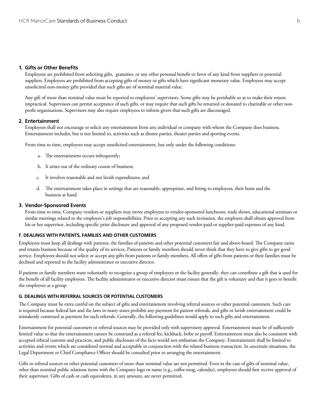#### **1. Gifts or Other Benefits**

Employees are prohibited from soliciting gifts, gratuities, or any other personal benefit or favor of any kind from suppliers or potential suppliers. Employees are prohibited from accepting gifts of money or gifts which have significant monetary value. Employees may accept unsolicited non-money gifts provided that such gifts are of nominal material value.

Any gift of more than nominal value must be reported to employees' supervisors. Some gifts may be perishable so as to make their return impractical. Supervisors can permit acceptance of such gifts, or may require that such gifts be returned or donated to charitable or other nonprofit organizations. Supervisors may also require employees to inform givers that such gifts are discouraged.

#### **2. Entertainment**

Employees shall not encourage or solicit any entertainment from any individual or company with whom the Company does business. Entertainment includes, but is not limited to, activities such as dinner parties, theater parties and sporting events.

From time to time, employees may accept unsolicited entertainment, but only under the following conditions:

- a. The entertainment occurs infrequently;
- b. It arises out of the ordinary course of business;
- c. It involves reasonable and not lavish expenditures; and
- d. The entertainment takes place in settings that are reasonable, appropriate, and fitting to employees, their hosts and the business at hand.

#### **3. Vendor-Sponsored Events**

From time to time, Company vendors or suppliers may invite employees to vendor-sponsored luncheons, trade shows, educational seminars or similar meetings related to the employee's job responsibilities. Prior to accepting any such invitation, the employee shall obtain approval from his or her supervisor, including specific prior disclosure and approval of any proposed vendor-paid or supplier-paid expenses of any kind.

#### **F. DEALINGS WITH PATIENTS, FAMILIES AND OTHER CUSTOMERS**

Employees must keep all dealings with patients, the families of patients and other potential customers fair and above-board. The Company earns and retains business because of the quality of its services. Patients or family members should never think that they have to give gifts to get good service. Employees should not solicit or accept any gifts from patients or family members. All offers of gifts from patients or their families must be declined and reported to the facility administrator or executive director.

If patients or family members want voluntarily to recognize a group of employees or the facility generally, they can contribute a gift that is used for the benefit of all facility employees. The facility administrator or executive director must ensure that the gift is voluntary and that it goes to benefit the employees as a group.

#### **G. DEALINGS WITH REFERRAL SOURCES OR POTENTIAL CUSTOMERS**

The Company must be extra careful on the subject of gifts and entertainment involving referral sources or other potential customers. Such care is required because federal law and the laws in many states prohibit any payment for patient referrals, and gifts or lavish entertainment could be mistakenly construed as payment for such referrals. Generally, the following guidelines would apply to such gifts and entertainment.

Entertainment for potential customers or referral sources may be provided only with supervisory approval. Entertainment must be of sufficiently limited value so that the entertainment cannot be construed as a referral fee, kickback, bribe or payoff. Entertainment must also be consistent with accepted ethical customs and practices, and public disclosure of the facts would not embarrass the Company. Entertainment shall be limited to activities and events which are considered normal and acceptable in conjunction with the related business transaction. In uncertain situations, the Legal Department or Chief Compliance Officer should be consulted prior to arranging the entertainment.

Gifts to referral sources or other potential customers of more than nominal value are not permitted. Even in the case of gifts of nominal value, other than nominal public relations items with the Company logo or name (e.g., coffee mug, calendar), employees should first receive approval of their supervisor. Gifts of cash or cash equivalents, in any amount, are never permitted.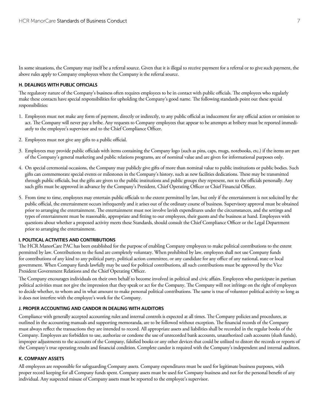In some situations, the Company may itself be a referral source. Given that it is illegal to receive payment for a referral or to give such payment, the above rules apply to Company employees where the Company is the referral source.

#### **H. DEALINGS WITH PUBLIC OFFICIALS**

The regulatory nature of the Company's business often requires employees to be in contact with public officials. The employees who regularly make these contacts have special responsibilities for upholding the Company's good name. The following standards point out these special responsibilities:

- 1. Employees must not make any form of payment, directly or indirectly, to any public official as inducement for any official action or omission to act. The Company will never pay a bribe. Any requests to Company employees that appear to be attempts at bribery must be reported immediately to the employee's supervisor and to the Chief Compliance Officer.
- 2. Employees must not give any gifts to a public official.
- 3. Employees may provide public officials with items containing the Company logo (such as pins, caps, mugs, notebooks, etc.) if the items are part of the Company's general marketing and public relations programs, are of nominal value and are given for informational purposes only.
- 4. On special ceremonial occasions, the Company may publicly give gifts of more than nominal value to public institutions or public bodies. Such gifts can commemorate special events or milestones in the Company's history, such as new facilities dedications. These may be transmitted through public officials, but the gifts are given to the public institutions and public groups they represent, not to the officials personally. Any such gifts must be approved in advance by the Company's President, Chief Operating Officer or Chief Financial Officer.
- 5. From time to time, employees may entertain public officials to the extent permitted by law, but only if the entertainment is not solicited by the public official, the entertainment occurs infrequently and it arises out of the ordinary course of business. Supervisory approval must be obtained prior to arranging the entertainment. The entertainment must not involve lavish expenditures under the circumstances, and the settings and types of entertainment must be reasonable, appropriate and fitting to our employees, their guests and the business at hand. Employees with questions about whether a proposed activity meets these Standards, should consult the Chief Compliance Officer or the Legal Department prior to arranging the entertainment.

#### **I. POLITICAL ACTIVITIES AND CONTRIBUTIONS**

The HCR ManorCare PAC has been established for the purpose of enabling Company employees to make political contributions to the extent permitted by law. Contributions to the fund are completely voluntary. When prohibited by law, employees shall not use Company funds for contributions of any kind to any political party, political action committee, or any candidate for any office of any national, state or local government. When Company funds lawfully may be used for political contributions, all such contributions must be approved by the Vice President Government Relations and the Chief Operating Officer.

The Company encourages individuals on their own behalf to become involved in political and civic affairs. Employees who participate in partisan political activities must not give the impression that they speak or act for the Company. The Company will not infringe on the right of employees to decide whether, to whom and in what amount to make personal political contributions. The same is true of volunteer political activity so long as it does not interfere with the employee's work for the Company.

#### **J. PROPER ACCOUNTING AND CANDOR IN DEALING WITH AUDITORS**

Compliance with generally accepted accounting rules and internal controls is expected at all times. The Company policies and procedures, as outlined in the accounting manuals and supporting memoranda, are to be followed without exception. The financial records of the Company must always reflect the transactions they are intended to record. All appropriate assets and liabilities shall be recorded in the regular books of the Company. Employees are forbidden to use, authorize or condone the use of unrecorded bank accounts, unauthorized cash accounts (slush funds), improper adjustments to the accounts of the Company, falsified books or any other devices that could be utilized to distort the records or reports of the Company's true operating results and financial condition. Complete candor is required with the Company's independent and internal auditors.

#### **K. COMPANY ASSETS**

All employees are responsible for safeguarding Company assets. Company expenditures must be used for legitimate business purposes, with proper record keeping for all Company funds spent. Company assets must be used for Company business and not for the personal benefit of any individual. Any suspected misuse of Company assets must be reported to the employee's supervisor.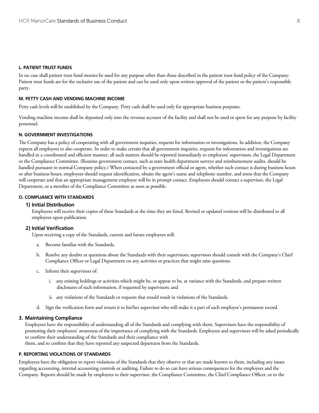#### **L. PATIENT TRUST FUNDS**

In no case shall patient trust fund monies be used for any purpose other than those described in the patient trust fund policy of the Company. Patient trust funds are for the exclusive use of the patient and can be used only upon written approval of the patient or the patient's responsible party.

#### **M. PETTY CASH AND VENDING MACHINE INCOME**

Petty cash levels will be established by the Company. Petty cash shall be used only for appropriate business purposes.

Vending machine income shall be deposited only into the revenue account of the facility and shall not be used or spent for any purpose by facility personnel.

#### **N. GOVERNMENT INVESTIGATIONS**

The Company has a policy of cooperating with all government inquiries, requests for information or investigations. In addition, the Company expects all employees to also cooperate. In order to make certain that all government inquiries, requests for information and investigations are handled in a coordinated and efficient manner, all such matters should be reported immediately to employees' supervisors, the Legal Department or the Compliance Committee. (Routine government contact, such as state health department surveys and reimbursement audits, should be handled pursuant to normal Company policy.) When contacted by a government official or agent, whether such contact is during business hours or after business hours, employees should request identification, obtain the agent's name and telephone number, and stress that the Company will cooperate and that an appropriate management employee will be in prompt contact. Employees should contact a supervisor, the Legal Department, or a member of the Compliance Committee as soon as possible.

#### **O. COMPLIANCE WITH STANDARDS**

#### **1) Initial Distribution**

Employees will receive their copies of these Standards at the time they are hired. Revised or updated versions will be distributed to all employees upon publication.

#### **2) Initial Verification**

Upon receiving a copy of the Standards, current and future employees will:

- a. Become familiar with the Standards.
- b. Resolve any doubts or questions about the Standards with their supervisors; supervisors should consult with the Company's Chief Compliance Officer or Legal Department on any activities or practices that might raise questions.
- c. Inform their supervisors of:
	- i. any existing holdings or activities which might be, or appear to be, at variance with the Standards, and prepare written disclosures of such information, if requested by supervisors; and
	- ii. any violations of the Standards or requests that would result in violations of the Standards.
- d. Sign the verification form and return it to his/her supervisor who will make it a part of each employee's permanent record.

#### **3. Maintaining Compliance**

Employees have the responsibility of understanding all of the Standards and complying with them. Supervisors have the responsibility of promoting their employees' awareness of the importance of complying with the Standards. Employees and supervisors will be asked periodically to confirm their understanding of the Standards and their compliance with

them, and to confirm that they have reported any suspected departures from the Standards.

#### **P. REPORTING VIOLATIONS OF STANDARDS**

Employees have the obligation to report violations of the Standards that they observe or that are made known to them, including any issues regarding accounting, internal accounting controls or auditing. Failure to do so can have serious consequences for the employees and the Company. Reports should be made by employees to their supervisor, the Compliance Committee, the Chief Compliance Officer, or to the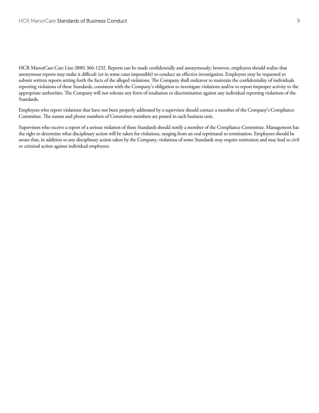HCR ManorCare Care Line (800) 366-1232. Reports can be made confidentially and anonymously; however, employees should realize that anonymous reports may make it difficult (or in some cases impossible) to conduct an effective investigation. Employees may be requested to submit written reports setting forth the facts of the alleged violations. The Company shall endeavor to maintain the confidentiality of individuals reporting violations of these Standards, consistent with the Company's obligation to investigate violations and/or to report improper activity to the appropriate authorities. The Company will not tolerate any form of retaliation or discrimination against any individual reporting violations of the Standards.

Employees who report violations that have not been properly addressed by a supervisor should contact a member of the Company's Compliance Committee. The names and phone numbers of Committee members are posted in each business unit.

Supervisors who receive a report of a serious violation of these Standards should notify a member of the Compliance Committee. Management has the right to determine what disciplinary action will be taken for violations, ranging from an oral reprimand to termination. Employees should be aware that, in addition to any disciplinary action taken by the Company, violations of some Standards may require restitution and may lead to civil or criminal action against individual employees.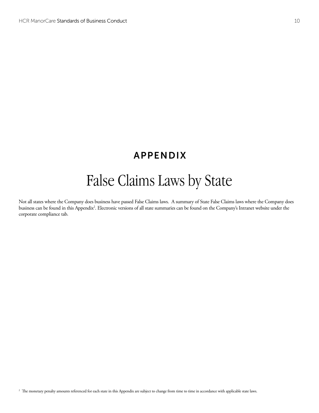## APPENDIX

# False Claims Laws by State

Not all states where the Company does business have passed False Claims laws. A summary of State False Claims laws where the Company does business can be found in this Appendix2 . Electronic versions of all state summaries can be found on the Company's Intranet website under the corporate compliance tab.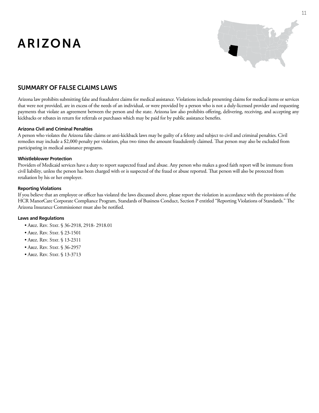# ARIZONA



### SUMMARY OF False ClaimS LAWS

Arizona law prohibits submitting false and fraudulent claims for medical assistance. Violations include presenting claims for medical items or services that were not provided, are in excess of the needs of an individual, or were provided by a person who is not a duly-licensed provider and requesting payments that violate an agreement between the person and the state. Arizona law also prohibits offering, delivering, receiving, and accepting any kickbacks or rebates in return for referrals or purchases which may be paid for by public assistance benefits.

#### **Arizona Civil and Criminal Penalties**

A person who violates the Arizona false claims or anti-kickback laws may be guilty of a felony and subject to civil and criminal penalties. Civil remedies may include a \$2,000 penalty per violation, plus two times the amount fraudulently claimed. That person may also be excluded from participating in medical assistance programs.

#### **Whistleblower Protection**

Providers of Medicaid services have a duty to report suspected fraud and abuse. Any person who makes a good faith report will be immune from civil liability, unless the person has been charged with or is suspected of the fraud or abuse reported. That person will also be protected from retaliation by his or her employer.

#### **Reporting Violations**

If you believe that an employee or officer has violated the laws discussed above, please report the violation in accordance with the provisions of the HCR ManorCare Corporate Compliance Program, Standards of Business Conduct, Section P entitled "Reporting Violations of Standards." The Arizona Insurance Commissioner must also be notified.

- Ariz. Rev. Stat. § 36-2918, 2918-2918.01
- Ariz. Rev. Stat. § 23-1501
- Ariz. Rev. Stat. § 13-2311
- Ariz. Rev. Stat. § 36-2957
- Ariz. Rev. Stat. § 13-3713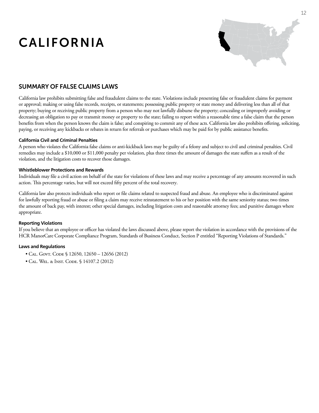# California



### SUMMARY OF False ClaimS LAWS

California law prohibits submitting false and fraudulent claims to the state. Violations include presenting false or fraudulent claims for payment or approval; making or using false records, receipts, or statements; possessing public property or state money and delivering less than all of that property; buying or receiving public property from a person who may not lawfully disburse the property; concealing or improperly avoiding or decreasing an obligation to pay or transmit money or property to the state; failing to report within a reasonable time a false claim that the person benefits from when the person knows the claim is false; and conspiring to commit any of these acts. California law also prohibits offering, soliciting, paying, or receiving any kickbacks or rebates in return for referrals or purchases which may be paid for by public assistance benefits.

#### **California Civil and Criminal Penalties**

A person who violates the California false claims or anti-kickback laws may be guilty of a felony and subject to civil and criminal penalties. Civil remedies may include a \$10,000 or \$11,000 penalty per violation, plus three times the amount of damages the state suffers as a result of the violation, and the litigation costs to recover those damages.

#### **Whistleblower Protections and Rewards**

Individuals may file a civil action on behalf of the state for violations of these laws and may receive a percentage of any amounts recovered in such action. This percentage varies, but will not exceed fifty percent of the total recovery.

California law also protects individuals who report or file claims related to suspected fraud and abuse. An employee who is discriminated against for lawfully reporting fraud or abuse or filing a claim may receive reinstatement to his or her position with the same seniority status; two times the amount of back pay, with interest; other special damages, including litigation costs and reasonable attorney fees; and punitive damages where appropriate.

#### **Reporting Violations**

If you believe that an employee or officer has violated the laws discussed above, please report the violation in accordance with the provisions of the HCR ManorCare Corporate Compliance Program, Standards of Business Conduct, Section P entitled "Reporting Violations of Standards."

- CAL. GOVT. CODE § 12650, 12650 12656 (2012)
- Cal. Wel. & Inst. Code. § 14107.2 (2012)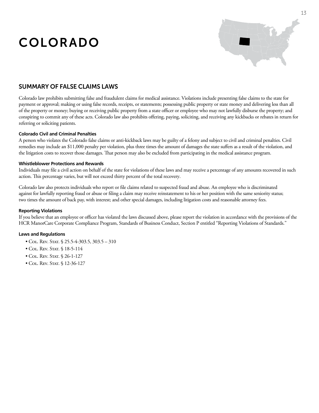# COLORADO



### SUMMARY OF False ClaimS LAWS

Colorado law prohibits submitting false and fraudulent claims for medical assistance. Violations include presenting false claims to the state for payment or approval; making or using false records, receipts, or statements; possessing public property or state money and delivering less than all of the property or money; buying or receiving public property from a state officer or employee who may not lawfully disburse the property; and conspiring to commit any of these acts. Colorado law also prohibits offering, paying, soliciting, and receiving any kickbacks or rebates in return for referring or soliciting patients.

#### **Colorado Civil and Criminal Penalties**

A person who violates the Colorado false claims or anti-kickback laws may be guilty of a felony and subject to civil and criminal penalties. Civil remedies may include an \$11,000 penalty per violation, plus three times the amount of damages the state suffers as a result of the violation, and the litigation costs to recover those damages. That person may also be excluded from participating in the medical assistance program.

#### **Whistleblower Protections and Rewards**

Individuals may file a civil action on behalf of the state for violations of these laws and may receive a percentage of any amounts recovered in such action. This percentage varies, but will not exceed thirty percent of the total recovery.

Colorado law also protects individuals who report or file claims related to suspected fraud and abuse. An employee who is discriminated against for lawfully reporting fraud or abuse or filing a claim may receive reinstatement to his or her position with the same seniority status; two times the amount of back pay, with interest; and other special damages, including litigation costs and reasonable attorney fees.

#### **Reporting Violations**

If you believe that an employee or officer has violated the laws discussed above, please report the violation in accordance with the provisions of the HCR ManorCare Corporate Compliance Program, Standards of Business Conduct, Section P entitled "Reporting Violations of Standards."

- COL. REV. STAT. § 25.5-4-303.5, 303.5 310
- COL. REV. STAT. § 18-5-114
- COL. REV. STAT. § 26-1-127
- COL. REV. STAT. § 12-36-127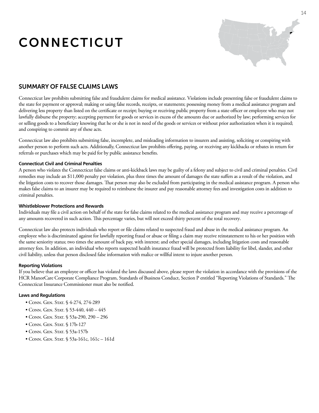# CONNECTICUT



### SUMMARY OF False ClaimS LAWS

Connecticut law prohibits submitting false and fraudulent claims for medical assistance. Violations include presenting false or fraudulent claims to the state for payment or approval; making or using false records, receipts, or statements; possessing money from a medical assistance program and delivering less property than listed on the certificate or receipt; buying or receiving public property from a state officer or employee who may not lawfully disburse the property; accepting payment for goods or services in excess of the amounts due or authorized by law; performing services for or selling goods to a beneficiary knowing that he or she is not in need of the goods or services or without prior authorization when it is required; and conspiring to commit any of these acts.

Connecticut law also prohibits submitting false, incomplete, and misleading information to insurers and assisting, soliciting or conspiring with another person to perform such acts. Additionally, Connecticut law prohibits offering, paying, or receiving any kickbacks or rebates in return for referrals or purchases which may be paid for by public assistance benefits.

#### **Connecticut Civil and Criminal Penalties**

A person who violates the Connecticut false claims or anti-kickback laws may be guilty of a felony and subject to civil and criminal penalties. Civil remedies may include an \$11,000 penalty per violation, plus three times the amount of damages the state suffers as a result of the violation, and the litigation costs to recover those damages. That person may also be excluded from participating in the medical assistance program. A person who makes false claims to an insurer may be required to reimburse the insurer and pay reasonable attorney fees and investigation costs in addition to criminal penalties.

#### **Whistleblower Protections and Rewards**

Individuals may file a civil action on behalf of the state for false claims related to the medical assistance program and may receive a percentage of any amounts recovered in such action. This percentage varies, but will not exceed thirty percent of the total recovery.

Connecticut law also protects individuals who report or file claims related to suspected fraud and abuse in the medical assistance program. An employee who is discriminated against for lawfully reporting fraud or abuse or filing a claim may receive reinstatement to his or her position with the same seniority status; two times the amount of back pay, with interest; and other special damages, including litigation costs and reasonable attorney fees. In addition, an individual who reports suspected health insurance fraud will be protected from liability for libel, slander, and other civil liability, unless that person disclosed false information with malice or willful intent to injure another person.

#### **Reporting Violations**

If you believe that an employee or officer has violated the laws discussed above, please report the violation in accordance with the provisions of the HCR ManorCare Corporate Compliance Program, Standards of Business Conduct, Section P entitled "Reporting Violations of Standards." The Connecticut Insurance Commissioner must also be notified.

- Conn. Gen. Stat. § 4-274, 274-289
- Conn. Gen. Stat. § 53-440, 440 445
- Conn. Gen. Stat. § 53a-290, 290 296
- Conn. Gen. Stat. § 17b-127
- CONN. GEN. STAT. § 53a-157b
- Conn. Gen. Stat. § 53a-161c, 161c 161d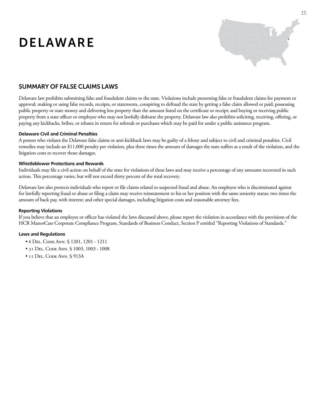# DELAWARE



### SUMMARY OF False ClaimS LAWS

Delaware law prohibits submitting false and fraudulent claims to the state. Violations include presenting false or fraudulent claims for payment or approval; making or using false records, receipts, or statements, conspiring to defraud the state by getting a false claim allowed or paid; possessing public property or state money and delivering less property than the amount listed on the certificate or receipt; and buying or receiving public property from a state officer or employee who may not lawfully disburse the property. Delaware law also prohibits soliciting, receiving, offering, or paying any kickbacks, bribes, or rebates in return for referrals or purchases which may be paid for under a public assistance program.

#### **Delaware Civil and Criminal Penalties**

A person who violates the Delaware false claims or anti-kickback laws may be guilty of a felony and subject to civil and criminal penalties. Civil remedies may include an \$11,000 penalty per violation, plus three times the amount of damages the state suffers as a result of the violation, and the litigation costs to recover those damages.

#### **Whistleblower Protections and Rewards**

Individuals may file a civil action on behalf of the state for violations of these laws and may receive a percentage of any amounts recovered in such action. This percentage varies, but will not exceed thirty percent of the total recovery.

Delaware law also protects individuals who report or file claims related to suspected fraud and abuse. An employee who is discriminated against for lawfully reporting fraud or abuse or filing a claim may receive reinstatement to his or her position with the same seniority status; two times the amount of back pay, with interest; and other special damages, including litigation costs and reasonable attorney fees.

#### **Reporting Violations**

If you believe that an employee or officer has violated the laws discussed above, please report the violation in accordance with the provisions of the HCR ManorCare Corporate Compliance Program, Standards of Business Conduct, Section P entitled "Reporting Violations of Standards."

- 6 Del. Code Ann. § 1201, 1201 1211
- 31 Del. Code Ann. § 1003, 1003 1008
- 11 Del. Code Ann. § 913A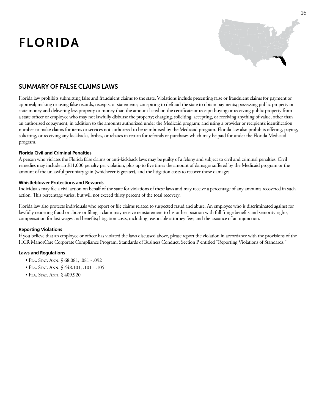# FLORIDA



### SUMMARY OF False ClaimS LAWS

Florida law prohibits submitting false and fraudulent claims to the state. Violations include presenting false or fraudulent claims for payment or approval; making or using false records, receipts, or statements; conspiring to defraud the state to obtain payments; possessing public property or state money and delivering less property or money than the amount listed on the certificate or receipt; buying or receiving public property from a state officer or employee who may not lawfully disburse the property; charging, soliciting, accepting, or receiving anything of value, other than an authorized copayment, in addition to the amounts authorized under the Medicaid program; and using a provider or recipient's identification number to make claims for items or services not authorized to be reimbursed by the Medicaid program. Florida law also prohibits offering, paying, soliciting, or receiving any kickbacks, bribes, or rebates in return for referrals or purchases which may be paid for under the Florida Medicaid program.

#### **Florida Civil and Criminal Penalties**

A person who violates the Florida false claims or anti-kickback laws may be guilty of a felony and subject to civil and criminal penalties. Civil remedies may include an \$11,000 penalty per violation, plus up to five times the amount of damages suffered by the Medicaid program or the amount of the unlawful pecuniary gain (whichever is greater), and the litigation costs to recover those damages.

#### **Whistleblower Protections and Rewards**

Individuals may file a civil action on behalf of the state for violations of these laws and may receive a percentage of any amounts recovered in such action. This percentage varies, but will not exceed thirty percent of the total recovery.

Florida law also protects individuals who report or file claims related to suspected fraud and abuse. An employee who is discriminated against for lawfully reporting fraud or abuse or filing a claim may receive reinstatement to his or her position with full fringe benefits and seniority rights; compensation for lost wages and benefits; litigation costs, including reasonable attorney fees; and the issuance of an injunction.

#### **Reporting Violations**

If you believe that an employee or officer has violated the laws discussed above, please report the violation in accordance with the provisions of the HCR ManorCare Corporate Compliance Program, Standards of Business Conduct, Section P entitled "Reporting Violations of Standards."

- Fla. Stat. Ann. § 68.081, .081 .092
- Fla. Stat. Ann. § 448.101, .101 .105
- Fla. Stat. Ann. § 409.920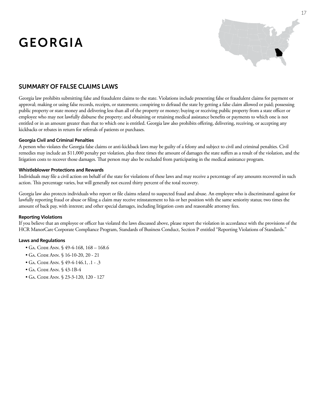# GEORGIA



### SUMMARY OF False ClaimS LAWS

Georgia law prohibits submitting false and fraudulent claims to the state. Violations include presenting false or fraudulent claims for payment or approval; making or using false records, receipts, or statements; conspiring to defraud the state by getting a false claim allowed or paid; possessing public property or state money and delivering less than all of the property or money; buying or receiving public property from a state officer or employee who may not lawfully disburse the property; and obtaining or retaining medical assistance benefits or payments to which one is not entitled or in an amount greater than that to which one is entitled. Georgia law also prohibits offering, delivering, receiving, or accepting any kickbacks or rebates in return for referrals of patients or purchases.

#### **Georgia Civil and Criminal Penalties**

A person who violates the Georgia false claims or anti-kickback laws may be guilty of a felony and subject to civil and criminal penalties. Civil remedies may include an \$11,000 penalty per violation, plus three times the amount of damages the state suffers as a result of the violation, and the litigation costs to recover those damages. That person may also be excluded from participating in the medical assistance program.

#### **Whistleblower Protections and Rewards**

Individuals may file a civil action on behalf of the state for violations of these laws and may receive a percentage of any amounts recovered in such action. This percentage varies, but will generally not exceed thirty percent of the total recovery.

Georgia law also protects individuals who report or file claims related to suspected fraud and abuse. An employee who is discriminated against for lawfully reporting fraud or abuse or filing a claim may receive reinstatement to his or her position with the same seniority status; two times the amount of back pay, with interest; and other special damages, including litigation costs and reasonable attorney fees.

#### **Reporting Violations**

If you believe that an employee or officer has violated the laws discussed above, please report the violation in accordance with the provisions of the HCR ManorCare Corporate Compliance Program, Standards of Business Conduct, Section P entitled "Reporting Violations of Standards."

- Ga. Code Ann. § 49-4-168, 168 168.6
- Ga. Code Ann. § 16-10-20, 20 21
- Ga. Code Ann. § 49-4-146.1, .1 .3
- Ga. Code Ann. § 43-1B-4
- Ga. Code Ann. § 23-3-120, 120 127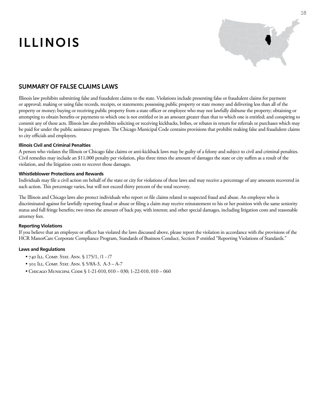# ILLINOIS



### SUMMARY OF False ClaimS LAWS

Illinois law prohibits submitting false and fraudulent claims to the state. Violations include presenting false or fraudulent claims for payment or approval; making or using false records, receipts, or statements; possessing public property or state money and delivering less than all of the property or money; buying or receiving public property from a state officer or employee who may not lawfully disburse the property; obtaining or attempting to obtain benefits or payments to which one is not entitled or in an amount greater than that to which one is entitled; and conspiring to commit any of these acts. Illinois law also prohibits soliciting or receiving kickbacks, bribes, or rebates in return for referrals or purchases which may be paid for under the public assistance program. The Chicago Municipal Code contains provisions that prohibit making false and fraudulent claims to city officials and employees.

#### **Illinois Civil and Criminal Penalties**

A person who violates the Illinois or Chicago false claims or anti-kickback laws may be guilty of a felony and subject to civil and criminal penalties. Civil remedies may include an \$11,000 penalty per violation, plus three times the amount of damages the state or city suffers as a result of the violation, and the litigation costs to recover those damages.

#### **Whistleblower Protections and Rewards**

Individuals may file a civil action on behalf of the state or city for violations of these laws and may receive a percentage of any amounts recovered in such action. This percentage varies, but will not exceed thirty percent of the total recovery.

The Illinois and Chicago laws also protect individuals who report or file claims related to suspected fraud and abuse. An employee who is discriminated against for lawfully reporting fraud or abuse or filing a claim may receive reinstatement to his or her position with the same seniority status and full fringe benefits; two times the amount of back pay, with interest; and other special damages, including litigation costs and reasonable attorney fees.

#### **Reporting Violations**

If you believe that an employee or officer has violated the laws discussed above, please report the violation in accordance with the provisions of the HCR ManorCare Corporate Compliance Program, Standards of Business Conduct, Section P entitled "Reporting Violations of Standards."

- 740 Ill. Comp. Stat. Ann. § 175/1, /1 /7
- 305 Ill. Comp. Stat. Ann. § 5/8A-3, A-3 A-7
- Chicago Municipal Code § 1-21-010, 010 030; 1-22-010, 010 060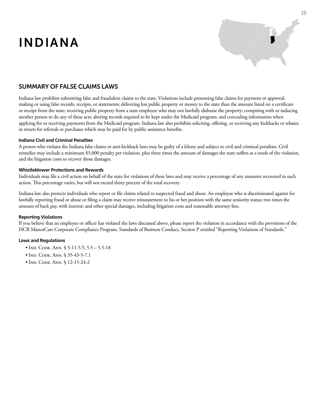# INDIANA



### SUMMARY OF False ClaimS LAWS

Indiana law prohibits submitting false and fraudulent claims to the state. Violations include presenting false claims for payment or approval; making or using false records, receipts, or statements; delivering less public property or money to the state than the amount listed on a certificate or receipt from the state; receiving public property from a state employee who may not lawfully disburse the property; conspiring with or inducing another person to do any of these acts; altering records required to be kept under the Medicaid program; and concealing information when applying for or receiving payments from the Medicaid program. Indiana law also prohibits soliciting, offering, or receiving any kickbacks or rebates in return for referrals or purchases which may be paid for by public assistance benefits.

#### **Indiana Civil and Criminal Penalties**

A person who violates the Indiana false claims or anti-kickback laws may be guilty of a felony and subject to civil and criminal penalties. Civil remedies may include a minimum \$5,000 penalty per violation, plus three times the amount of damages the state suffers as a result of the violation, and the litigation costs to recover those damages.

#### **Whistleblower Protections and Rewards**

Individuals may file a civil action on behalf of the state for violations of these laws and may receive a percentage of any amounts recovered in such action. This percentage varies, but will not exceed thirty percent of the total recovery.

Indiana law also protects individuals who report or file claims related to suspected fraud and abuse. An employee who is discriminated against for lawfully reporting fraud or abuse or filing a claim may receive reinstatement to his or her position with the same seniority status; two times the amount of back pay, with interest; and other special damages, including litigation costs and reasonable attorney fees.

#### **Reporting Violations**

If you believe that an employee or officer has violated the laws discussed above, please report the violation in accordance with the provisions of the HCR ManorCare Corporate Compliance Program, Standards of Business Conduct, Section P entitled "Reporting Violations of Standards."

- Ind. Code. Ann. § 5-11-5.5, 5.5 5.5-18
- IND. CODE. ANN. § 35-43-5-7.1
- IND. CODE. ANN. § 12-15-24-2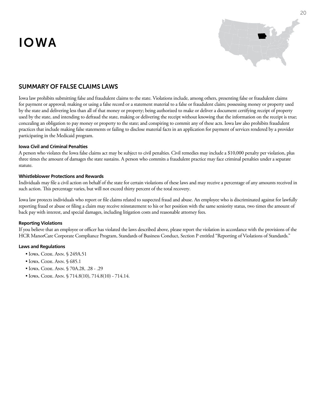# IOWA



### SUMMARY OF False ClaimS LAWS

Iowa law prohibits submitting false and fraudulent claims to the state. Violations include, among others, presenting false or fraudulent claims for payment or approval; making or using a false record or a statement material to a false or fraudulent claim; possessing money or property used by the state and delivering less than all of that money or property; being authorized to make or deliver a document certifying receipt of property used by the state, and intending to defraud the state, making or delivering the receipt without knowing that the information on the receipt is true; concealing an obligation to pay money or property to the state; and conspiring to commit any of these acts. Iowa law also prohibits fraudulent practices that include making false statements or failing to disclose material facts in an application for payment of services rendered by a provider participating in the Medicaid program.

#### **Iowa Civil and Criminal Penalties**

A person who violates the Iowa false claims act may be subject to civil penalties. Civil remedies may include a \$10,000 penalty per violation, plus three times the amount of damages the state sustains. A person who commits a fraudulent practice may face criminal penalties under a separate statute.

#### **Whistleblower Protections and Rewards**

Individuals may file a civil action on behalf of the state for certain violations of these laws and may receive a percentage of any amounts received in such action. This percentage varies, but will not exceed thirty percent of the total recovery.

Iowa law protects individuals who report or file claims related to suspected fraud and abuse. An employee who is discriminated against for lawfully reporting fraud or abuse or filing a claim may receive reinstatement to his or her position with the same seniority status, two times the amount of back pay with interest, and special damages, including litigation costs and reasonable attorney fees.

#### **Reporting Violations**

If you believe that an employee or officer has violated the laws described above, please report the violation in accordance with the provisions of the HCR ManorCare Corporate Compliance Program, Standards of Business Conduct, Section P entitled "Reporting of Violations of Standards."

- Iowa. Code. Ann. § 249A.51
- Iowa. Code. Ann. § 685.1
- Iowa. Code. Ann. § 70A.28, .28 .29
- Iowa. Code. Ann. § 714.8(10), 714.8(10) 714.14.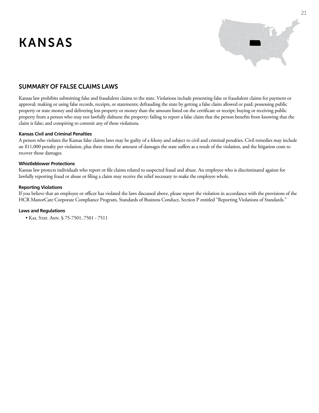# KANSAS



### SUMMARY OF False ClaimS LAWS

Kansas law prohibits submitting false and fraudulent claims to the state. Violations include presenting false or fraudulent claims for payment or approval; making or using false records, receipts, or statements; defrauding the state by getting a false claim allowed or paid; possessing public property or state money and delivering less property or money than the amount listed on the certificate or receipt; buying or receiving public property from a person who may not lawfully disburse the property; failing to report a false claim that the person benefits from knowing that the claim is false; and conspiring to commit any of these violations.

#### **Kansas Civil and Criminal Penalties**

A person who violates the Kansas false claims laws may be guilty of a felony and subject to civil and criminal penalties. Civil remedies may include an \$11,000 penalty per violation, plus three times the amount of damages the state suffers as a result of the violation, and the litigation costs to recover those damages.

#### **Whistleblower Protections**

Kansas law protects individuals who report or file claims related to suspected fraud and abuse. An employee who is discriminated against for lawfully reporting fraud or abuse or filing a claim may receive the relief necessary to make the employee whole.

#### **Reporting Violations**

If you believe that an employee or officer has violated the laws discussed above, please report the violation in accordance with the provisions of the HCR ManorCare Corporate Compliance Program, Standards of Business Conduct, Section P entitled "Reporting Violations of Standards."

#### **Laws and Regulations**

 • Kas. Stat. Ann. § 75-7501, 7501 - 7511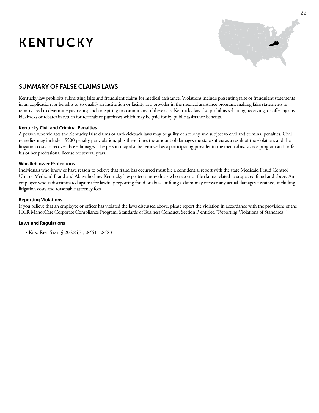# KENTUCKY



### SUMMARY OF False ClaimS LAWS

Kentucky law prohibits submitting false and fraudulent claims for medical assistance. Violations include presenting false or fraudulent statements in an application for benefits or to qualify an institution or facility as a provider in the medical assistance program; making false statements in reports used to determine payments; and conspiring to commit any of these acts. Kentucky law also prohibits soliciting, receiving, or offering any kickbacks or rebates in return for referrals or purchases which may be paid for by public assistance benefits.

#### **Kentucky Civil and Criminal Penalties**

A person who violates the Kentucky false claims or anti-kickback laws may be guilty of a felony and subject to civil and criminal penalties. Civil remedies may include a \$500 penalty per violation, plus three times the amount of damages the state suffers as a result of the violation, and the litigation costs to recover those damages. The person may also be removed as a participating provider in the medical assistance program and forfeit his or her professional license for several years.

#### **Whistleblower Protections**

Individuals who know or have reason to believe that fraud has occurred must file a confidential report with the state Medicaid Fraud Control Unit or Medicaid Fraud and Abuse hotline. Kentucky law protects individuals who report or file claims related to suspected fraud and abuse. An employee who is discriminated against for lawfully reporting fraud or abuse or filing a claim may recover any actual damages sustained, including litigation costs and reasonable attorney fees.

#### **Reporting Violations**

If you believe that an employee or officer has violated the laws discussed above, please report the violation in accordance with the provisions of the HCR ManorCare Corporate Compliance Program, Standards of Business Conduct, Section P entitled "Reporting Violations of Standards."

#### **Laws and Regulations**

 • Ken. Rev. Stat. § 205.8451, .8451 - .8483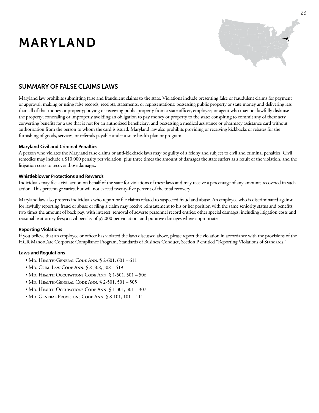# MARYLAND



### SUMMARY OF False ClaimS LAWS

Maryland law prohibits submitting false and fraudulent claims to the state. Violations include presenting false or fraudulent claims for payment or approval; making or using false records, receipts, statements, or representations; possessing public property or state money and delivering less than all of that money or property; buying or receiving public property from a state officer, employee, or agent who may not lawfully disburse the property; concealing or improperly avoiding an obligation to pay money or property to the state; conspiring to commit any of these acts; converting benefits for a use that is not for an authorized beneficiary; and possessing a medical assistance or pharmacy assistance card without authorization from the person to whom the card is issued. Maryland law also prohibits providing or receiving kickbacks or rebates for the furnishing of goods, services, or referrals payable under a state health plan or program.

#### **Maryland Civil and Criminal Penalties**

A person who violates the Maryland false claims or anti-kickback laws may be guilty of a felony and subject to civil and criminal penalties. Civil remedies may include a \$10,000 penalty per violation, plus three times the amount of damages the state suffers as a result of the violation, and the litigation costs to recover those damages.

#### **Whistleblower Protections and Rewards**

Individuals may file a civil action on behalf of the state for violations of these laws and may receive a percentage of any amounts recovered in such action. This percentage varies, but will not exceed twenty-five percent of the total recovery.

Maryland law also protects individuals who report or file claims related to suspected fraud and abuse. An employee who is discriminated against for lawfully reporting fraud or abuse or filing a claim may receive reinstatement to his or her position with the same seniority status and benefits; two times the amount of back pay, with interest; removal of adverse personnel record entries; other special damages, including litigation costs and reasonable attorney fees; a civil penalty of \$5,000 per violation; and punitive damages where appropriate.

#### **Reporting Violations**

If you believe that an employee or officer has violated the laws discussed above, please report the violation in accordance with the provisions of the HCR ManorCare Corporate Compliance Program, Standards of Business Conduct, Section P entitled "Reporting Violations of Standards."

- Md. Health-General Code Ann. § 2-601, 601 611
- Md. Crim. Law Code Ann. § 8-508, 508 519
- Md. Health Occupations Code Ann. § 1-501, 501 506
- Md. Health-General Code Ann. § 2-501, 501 505
- Md. Health Occupations Code Ann. § 1-301, 301 307
- Md. General Provisions Code Ann. § 8-101, 101 111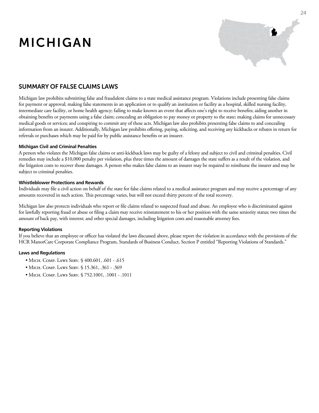# MICHIGAN



### SUMMARY OF False ClaimS LAWS

Michigan law prohibits submitting false and fraudulent claims to a state medical assistance program. Violations include presenting false claims for payment or approval; making false statements in an application or to qualify an institution or facility as a hospital, skilled nursing facility, intermediate care facility, or home health agency; failing to make known an event that affects one's right to receive benefits; aiding another in obtaining benefits or payments using a false claim; concealing an obligation to pay money or property to the state; making claims for unnecessary medical goods or services; and conspiring to commit any of these acts. Michigan law also prohibits presenting false claims to and concealing information from an insurer. Additionally, Michigan law prohibits offering, paying, soliciting, and receiving any kickbacks or rebates in return for referrals or purchases which may be paid for by public assistance benefits or an insurer.

#### **Michigan Civil and Criminal Penalties**

A person who violates the Michigan false claims or anti-kickback laws may be guilty of a felony and subject to civil and criminal penalties. Civil remedies may include a \$10,000 penalty per violation, plus three times the amount of damages the state suffers as a result of the violation, and the litigation costs to recover those damages. A person who makes false claims to an insurer may be required to reimburse the insurer and may be subject to criminal penalties.

#### **Whistleblower Protections and Rewards**

Individuals may file a civil action on behalf of the state for false claims related to a medical assistance program and may receive a percentage of any amounts recovered in such action. This percentage varies, but will not exceed thirty percent of the total recovery.

Michigan law also protects individuals who report or file claims related to suspected fraud and abuse. An employee who is discriminated against for lawfully reporting fraud or abuse or filing a claim may receive reinstatement to his or her position with the same seniority status; two times the amount of back pay, with interest; and other special damages, including litigation costs and reasonable attorney fees.

#### **Reporting Violations**

If you believe that an employee or officer has violated the laws discussed above, please report the violation in accordance with the provisions of the HCR ManorCare Corporate Compliance Program, Standards of Business Conduct, Section P entitled "Reporting Violations of Standards."

- Місн. Сомр. Laws Serv. § 400.601, .601 .615
- MICH. COMP. LAWS SERV. § 15.361, .361 .369
- Місн. Сомр. Laws Serv. § 752.1001, .1001 .1011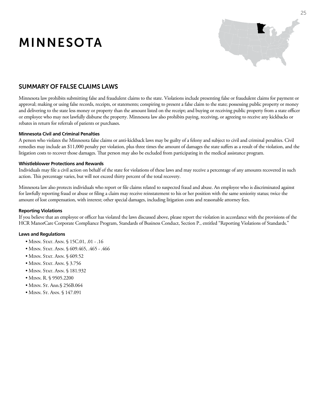# MINNESOTA



### SUMMARY OF False ClaimS LAWS

Minnesota law prohibits submitting false and fraudulent claims to the state. Violations include presenting false or fraudulent claims for payment or approval; making or using false records, receipts, or statements; conspiring to present a false claim to the state; possessing public property or money and delivering to the state less money or property than the amount listed on the receipt; and buying or receiving public property from a state officer or employee who may not lawfully disburse the property. Minnesota law also prohibits paying, receiving, or agreeing to receive any kickbacks or rebates in return for referrals of patients or purchases.

#### **Minnesota Civil and Criminal Penalties**

A person who violates the Minnesota false claims or anti-kickback laws may be guilty of a felony and subject to civil and criminal penalties. Civil remedies may include an \$11,000 penalty per violation, plus three times the amount of damages the state suffers as a result of the violation, and the litigation costs to recover those damages. That person may also be excluded from participating in the medical assistance program.

#### **Whistleblower Protections and Rewards**

Individuals may file a civil action on behalf of the state for violations of these laws and may receive a percentage of any amounts recovered in such action. This percentage varies, but will not exceed thirty percent of the total recovery.

Minnesota law also protects individuals who report or file claims related to suspected fraud and abuse. An employee who is discriminated against for lawfully reporting fraud or abuse or filing a claim may receive reinstatement to his or her position with the same seniority status; twice the amount of lost compensation, with interest; other special damages, including litigation costs and reasonable attorney fees.

#### **Reporting Violations**

If you believe that an employee or officer has violated the laws discussed above, please report the violation in accordance with the provisions of the HCR ManorCare Corporate Compliance Program, Standards of Business Conduct, Section P., entitled "Reporting Violations of Standards."

- MINN. STAT. ANN. § 15C.01, .01 .16
- MINN. STAT. ANN. § 609.465, .465 .466
- MINN. STAT. ANN. § 609.52
- MINN. STAT. ANN. § 3.756
- MINN. STAT. ANN. § 181.932
- Minn. R. § 9505.2200
- MINN. St. Ann. § 256B.064
- MINN. St. ANN. § 147.091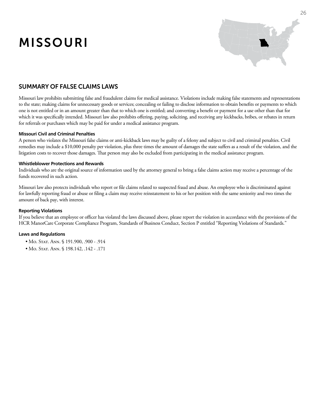# MISSOURI



### SUMMARY OF False ClaimS LAWS

Missouri law prohibits submitting false and fraudulent claims for medical assistance. Violations include making false statements and representations to the state; making claims for unnecessary goods or services; concealing or failing to disclose information to obtain benefits or payments to which one is not entitled or in an amount greater than that to which one is entitled; and converting a benefit or payment for a use other than that for which it was specifically intended. Missouri law also prohibits offering, paying, soliciting, and receiving any kickbacks, bribes, or rebates in return for referrals or purchases which may be paid for under a medical assistance program.

#### **Missouri Civil and Criminal Penalties**

A person who violates the Missouri false claims or anti-kickback laws may be guilty of a felony and subject to civil and criminal penalties. Civil remedies may include a \$10,000 penalty per violation, plus three times the amount of damages the state suffers as a result of the violation, and the litigation costs to recover those damages. That person may also be excluded from participating in the medical assistance program.

#### **Whistleblower Protections and Rewards**

Individuals who are the original source of information used by the attorney general to bring a false claims action may receive a percentage of the funds recovered in such action.

Missouri law also protects individuals who report or file claims related to suspected fraud and abuse. An employee who is discriminated against for lawfully reporting fraud or abuse or filing a claim may receive reinstatement to his or her position with the same seniority and two times the amount of back pay, with interest.

#### **Reporting Violations**

If you believe that an employee or officer has violated the laws discussed above, please report the violation in accordance with the provisions of the HCR ManorCare Corporate Compliance Program, Standards of Business Conduct, Section P entitled "Reporting Violations of Standards."

- Mo. Stat. Ann. § 191.900, .900 .914
- Mo. Stat. Ann. § 198.142, .142 .171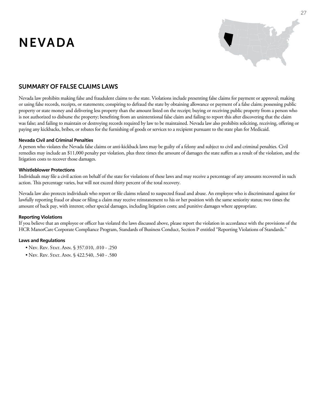# NEVADA



### SUMMARY OF False ClaimS LAWS

Nevada law prohibits making false and fraudulent claims to the state. Violations include presenting false claims for payment or approval; making or using false records, receipts, or statements; conspiring to defraud the state by obtaining allowance or payment of a false claim; possessing public property or state money and delivering less property than the amount listed on the receipt; buying or receiving public property from a person who is not authorized to disburse the property; benefiting from an unintentional false claim and failing to report this after discovering that the claim was false; and failing to maintain or destroying records required by law to be maintained. Nevada law also prohibits soliciting, receiving, offering or paying any kickbacks, bribes, or rebates for the furnishing of goods or services to a recipient pursuant to the state plan for Medicaid.

#### **Nevada Civil and Criminal Penalties**

A person who violates the Nevada false claims or anti-kickback laws may be guilty of a felony and subject to civil and criminal penalties. Civil remedies may include an \$11,000 penalty per violation, plus three times the amount of damages the state suffers as a result of the violation, and the litigation costs to recover those damages.

#### **Whistleblower Protections**

Individuals may file a civil action on behalf of the state for violations of these laws and may receive a percentage of any amounts recovered in such action. This percentage varies, but will not exceed thirty percent of the total recovery.

Nevada law also protects individuals who report or file claims related to suspected fraud and abuse. An employee who is discriminated against for lawfully reporting fraud or abuse or filing a claim may receive reinstatement to his or her position with the same seniority status; two times the amount of back pay, with interest; other special damages, including litigation costs; and punitive damages where appropriate.

#### **Reporting Violations**

If you believe that an employee or officer has violated the laws discussed above, please report the violation in accordance with the provisions of the HCR ManorCare Corporate Compliance Program, Standards of Business Conduct, Section P entitled "Reporting Violations of Standards."

- Nev. Rev. Stat. Ann. § 357.010, .010 .250
- Nev. Rev. Stat. Ann. § 422.540, .540 .580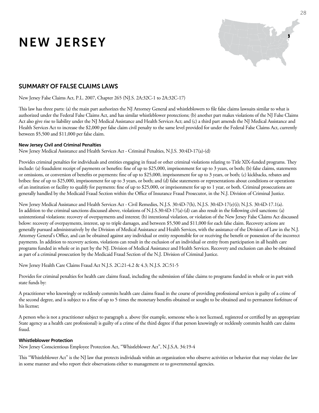# NEW JERSEY



### SUMMARY OF False ClaimS LAWS

New Jersey False Claims Act, P.L. 2007, Chapter 265 (NJ.S. 2A:32C-1 to 2A:32C-17)

This law has three parts: (a) the main part authorizes the NJ Attorney General and whistleblowers to file false claims lawsuits similar to what is authorized under the Federal False Claims Act, and has similar whistleblower protections; (b) another part makes violations of the NJ False Claims Act also give rise to liability under the NJ Medical Assistance and Health Services Act; and (c) a third part amends the NJ Medical Assistance and Health Services Act to increase the \$2,000 per false claim civil penalty to the same level provided for under the Federal False Claims Act, currently between \$5,500 and \$11,000 per false claim.

#### **New Jersey Civil and Criminal Penalties**

New Jersey Medical Assistance and Health Services Act - Criminal Penalties, N.J.S. 30:4D-17(a)-(d)

Provides criminal penalties for individuals and entities engaging in fraud or other criminal violations relating to Title XIX-funded programs. They include: (a) fraudulent receipt of payments or benefits: fine of up to \$25,000, imprisonment for up to 3 years, or both; (b) false claims, statements or omissions, or conversion of benefits or payments: fine of up to \$25,000, imprisonment for up to 3 years, or both; (c) kickbacks, rebates and bribes: fine of up to \$25,000, imprisonment for up to 3 years, or both; and (d) false statements or representations about conditions or operations of an institution or facility to qualify for payments: fine of up to \$25,000, or imprisonment for up to 1 year, or both. Criminal prosecutions are generally handled by the Medicaid Fraud Section within the Office of Insurance Fraud Prosecutor, in the N.J. Division of Criminal Justice.

New Jersey Medical Assistance and Health Services Act - Civil Remedies, N.J.S. 30:4D-7(h), N.J.S. 30:4D-17(e)(i); N.J.S. 30:4D-17.1(a). In addition to the criminal sanctions discussed above, violations of N.J.S.30:4D-17(a)-(d) can also result in the following civil sanctions: (a) unintentional violations: recovery of overpayments and interest; (b) intentional violation, or violation of the New Jersey False Claims Act discussed below: recovery of overpayments, interest, up to triple damages, and between \$5,500 and \$11,000 for each false claim. Recovery actions are generally pursued administratively by the Division of Medical Assistance and Health Services, with the assistance of the Division of Law in the N.J. Attorney General's Office, and can be obtained against any individual or entity responsible for or receiving the benefit or possession of the incorrect payments. In addition to recovery actions, violations can result in the exclusion of an individual or entity from participation in all health care programs funded in whole or in part by the NJ. Division of Medical Assistance and Health Services. Recovery and exclusion can also be obtained as part of a criminal prosecution by the Medicaid Fraud Section of the N.J. Division of Criminal Justice.

New Jersey Health Care Claims Fraud Act N.J.S. 2C:21-4.2 & 4.3; N.J.S. 2C:51-5

Provides for criminal penalties for health care claims fraud, including the submission of false claims to programs funded in whole or in part with state funds by:

A practitioner who knowingly or recklessly commits health care claims fraud in the course of providing professional services is guilty of a crime of the second degree, and is subject to a fine of up to 5 times the monetary benefits obtained or sought to be obtained and to permanent forfeiture of his license;

A person who is not a practitioner subject to paragraph a. above (for example, someone who is not licensed, registered or certified by an appropriate State agency as a health care professional) is guilty of a crime of the third degree if that person knowingly or recklessly commits health care claims fraud.

#### **Whistleblower Protection**

New Jersey Conscientious Employee Protection Act, "Whistleblower Act", N.J.S.A. 34:19-4

This "Whistleblower Act" is the NJ law that protects individuals within an organization who observe activities or behavior that may violate the law in some manner and who report their observations either to management or to governmental agencies.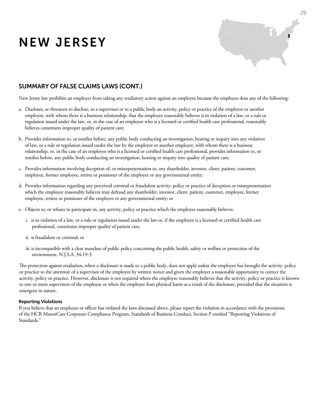# NEW JERSEY



### SUMMARY OF False ClaimS LAWS (CONT.)

New Jersey law prohibits an employer from taking any retaliatory action against an employee because the employee does any of the following:

- a. Discloses, or threatens to disclose, to a supervisor or to a public body an activity, policy or practice of the employer or another employee, with whom there is a business relationship, that the employee reasonably believes is in violation of a law, or a rule or regulation issued under the law, or, in the case of an employee who is a licensed or certified health care professional, reasonably believes constitutes improper quality of patient care;
- b. Provides information to, or testifies before, any public body conducting an investigation, hearing or inquiry into any violation of law, or a rule or regulation issued under the law by the employer or another employer, with whom there is a business relationship, or, in the case of an employee who is a licensed or certified health care professional, provides information to, or testifies before, any public body conducting an investigation, hearing or inquiry into quality of patient care;
- c. Provides information involving deception of, or misrepresentation to, any shareholder, investor, client, patient, customer, employee, former employee, retiree or pensioner of the employer or any governmental entity;
- d. Provides information regarding any perceived criminal or fraudulent activity, policy or practice of deception or misrepresentation which the employee reasonably believes may defraud any shareholder, investor, client, patient, customer, employee, former employee, retiree or pensioner of the employer or any governmental entity; or
- e. Objects to, or refuses to participate in, any activity, policy or practice which the employee reasonably believes:
	- i. is in violation of a law, or a rule or regulation issued under the law or, if the employee is a licensed or certified health care professional, constitutes improper quality of patient care;
	- ii. is fraudulent or criminal; or
	- iii. is incompatible with a clear mandate of public policy concerning the public health, safety or welfare or protection of the environment. N.J.S.A. 34:19-3.

The protection against retaliation, when a disclosure is made to a public body, does not apply unless the employee has brought the activity, policy or practice to the attention of a supervisor of the employee by written notice and given the employer a reasonable opportunity to correct the activity, policy or practice. However, disclosure is not required where the employee reasonably believes that the activity, policy or practice is known to one or more supervisors of the employee or when the employee fears physical harm as a result of the disclosure, provided that the situation is emergent in nature.

#### **Reporting Violations**

If you believe that an employee or officer has violated the laws discussed above, please report the violation in accordance with the provisions of the HCR ManorCare Corporate Compliance Program, Standards of Business Conduct, Section P entitled "Reporting Violations of Standards."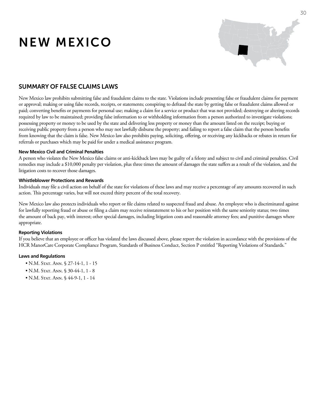# NEW MEXICO



### SUMMARY OF False ClaimS LAWS

New Mexico law prohibits submitting false and fraudulent claims to the state. Violations include presenting false or fraudulent claims for payment or approval; making or using false records, receipts, or statements; conspiring to defraud the state by getting false or fraudulent claims allowed or paid; converting benefits or payments for personal use; making a claim for a service or product that was not provided; destroying or altering records required by law to be maintained; providing false information to or withholding information from a person authorized to investigate violations; possessing property or money to be used by the state and delivering less property or money than the amount listed on the receipt; buying or receiving public property from a person who may not lawfully disburse the property; and failing to report a false claim that the person benefits from knowing that the claim is false. New Mexico law also prohibits paying, soliciting, offering, or receiving any kickbacks or rebates in return for referrals or purchases which may be paid for under a medical assistance program.

#### **New Mexico Civil and Criminal Penalties**

A person who violates the New Mexico false claims or anti-kickback laws may be guilty of a felony and subject to civil and criminal penalties. Civil remedies may include a \$10,000 penalty per violation, plus three times the amount of damages the state suffers as a result of the violation, and the litigation costs to recover those damages.

#### **Whistleblower Protections and Rewards**

Individuals may file a civil action on behalf of the state for violations of these laws and may receive a percentage of any amounts recovered in such action. This percentage varies, but will not exceed thirty percent of the total recovery.

New Mexico law also protects individuals who report or file claims related to suspected fraud and abuse. An employee who is discriminated against for lawfully reporting fraud or abuse or filing a claim may receive reinstatement to his or her position with the same seniority status; two times the amount of back pay, with interest; other special damages, including litigation costs and reasonable attorney fees; and punitive damages where appropriate.

#### **Reporting Violations**

If you believe that an employee or officer has violated the laws discussed above, please report the violation in accordance with the provisions of the HCR ManorCare Corporate Compliance Program, Standards of Business Conduct, Section P entitled "Reporting Violations of Standards."

- N.M. Stat. Ann. § 27-14-1, 1 15
- N.M. Stat. Ann. § 30-44-1, 1 8
- N.M. Stat. Ann. § 44-9-1, 1 14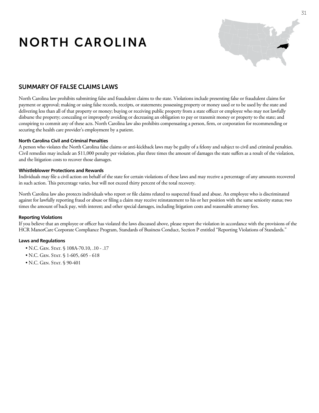# NORTH CAROLINA



### SUMMARY OF False ClaimS LAWS

North Carolina law prohibits submitting false and fraudulent claims to the state. Violations include presenting false or fraudulent claims for payment or approval; making or using false records, receipts, or statements; possessing property or money used or to be used by the state and delivering less than all of that property or money; buying or receiving public property from a state officer or employee who may not lawfully disburse the property; concealing or improperly avoiding or decreasing an obligation to pay or transmit money or property to the state; and conspiring to commit any of these acts. North Carolina law also prohibits compensating a person, firm, or corporation for recommending or securing the health care provider's employment by a patient.

#### **North Carolina Civil and Criminal Penalties**

A person who violates the North Carolina false claims or anti-kickback laws may be guilty of a felony and subject to civil and criminal penalties. Civil remedies may include an \$11,000 penalty per violation, plus three times the amount of damages the state suffers as a result of the violation, and the litigation costs to recover those damages.

#### **Whistleblower Protections and Rewards**

Individuals may file a civil action on behalf of the state for certain violations of these laws and may receive a percentage of any amounts recovered in such action. This percentage varies, but will not exceed thirty percent of the total recovery.

North Carolina law also protects individuals who report or file claims related to suspected fraud and abuse. An employee who is discriminated against for lawfully reporting fraud or abuse or filing a claim may receive reinstatement to his or her position with the same seniority status; two times the amount of back pay, with interest; and other special damages, including litigation costs and reasonable attorney fees.

#### **Reporting Violations**

If you believe that an employee or officer has violated the laws discussed above, please report the violation in accordance with the provisions of the HCR ManorCare Corporate Compliance Program, Standards of Business Conduct, Section P entitled "Reporting Violations of Standards."

- N.C. GEN. STAT. § 108A-70.10, .10 .17
- N.C. GEN. STAT. § 1-605, 605 618
- N.C. GEN. STAT. § 90-401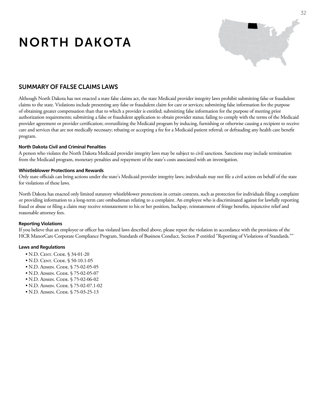# NORTH DAKOTA



### SUMMARY OF False ClaimS LAWS

Although North Dakota has not enacted a state false claims act, the state Medicaid provider integrity laws prohibit submitting false or fraudulent claims to the state. Violations include presenting any false or fraudulent claim for care or services; submitting false information for the purpose of obtaining greater compensation than that to which a provider is entitled; submitting false information for the purpose of meeting prior authorization requirements; submitting a false or fraudulent application to obtain provider status; failing to comply with the terms of the Medicaid provider agreement or provider certification; overutilizing the Medicaid program by inducing, furnishing or otherwise causing a recipient to receive care and services that are not medically necessary; rebating or accepting a fee for a Medicaid patient referral; or defrauding any health care benefit program.

#### **North Dakota Civil and Criminal Penalties**

A person who violates the North Dakota Medicaid provider integrity laws may be subject to civil sanctions. Sanctions may include termination from the Medicaid program, monetary penalties and repayment of the state's costs associated with an investigation.

#### **Whistleblower Protections and Rewards**

Only state officials can bring actions under the state's Medicaid provider integrity laws; individuals may not file a civil action on behalf of the state for violations of these laws.

North Dakota has enacted only limited statutory whistleblower protections in certain contexts, such as protection for individuals filing a complaint or providing information to a long-term care ombudsman relating to a complaint. An employee who is discriminated against for lawfully reporting fraud or abuse or filing a claim may receive reinstatement to his or her position, backpay, reinstatement of fringe benefits, injunctive relief and reasonable attorney fees.

#### **Reporting Violations**

If you believe that an employee or officer has violated laws described above, please report the violation in accordance with the provisions of the HCR ManorCare Corporate Compliance Program, Standards of Business Conduct, Section P entitled "Reporting of Violations of Standards.""

- N.D. CENT. CODE. § 34-01-20
- N.D. CENT. CODE. § 50-10.1-05
- N.D. Admin. Code. § 75-02-05-05
- N.D. Admin. Code. § 75-02-05-07
- N.D. Admin. Code. § 75-02-06-02
- N.D. Admin. Code. § 75-02-07.1-02
- N.D. Admin. Code. § 75-03-25-13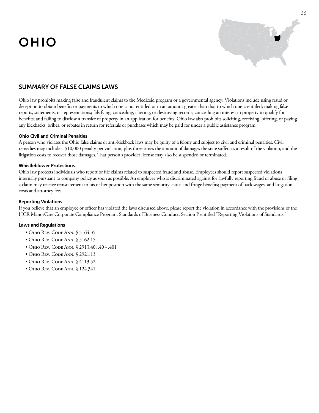# OHIO



### SUMMARY OF False ClaimS LAWS

Ohio law prohibits making false and fraudulent claims to the Medicaid program or a governmental agency. Violations include using fraud or deception to obtain benefits or payments to which one is not entitled or in an amount greater than that to which one is entitled; making false reports, statements, or representations; falsifying, concealing, altering, or destroying records; concealing an interest in property to qualify for benefits; and failing to disclose a transfer of property in an application for benefits. Ohio law also prohibits soliciting, receiving, offering, or paying any kickbacks, bribes, or rebates in return for referrals or purchases which may be paid for under a public assistance program.

#### **Ohio Civil and Criminal Penalties**

A person who violates the Ohio false claims or anti-kickback laws may be guilty of a felony and subject to civil and criminal penalties. Civil remedies may include a \$10,000 penalty per violation, plus three times the amount of damages the state suffers as a result of the violation, and the litigation costs to recover those damages. That person's provider license may also be suspended or terminated.

#### **Whistleblower Protections**

Ohio law protects individuals who report or file claims related to suspected fraud and abuse. Employees should report suspected violations internally pursuant to company policy as soon as possible. An employee who is discriminated against for lawfully reporting fraud or abuse or filing a claim may receive reinstatement to his or her position with the same seniority status and fringe benefits; payment of back wages; and litigation costs and attorney fees.

#### **Reporting Violations**

If you believe that an employee or officer has violated the laws discussed above, please report the violation in accordance with the provisions of the HCR ManorCare Corporate Compliance Program, Standards of Business Conduct, Section P entitled "Reporting Violations of Standards."

- Ohio Rev. Code Ann. § 5164.35
- Ohio Rev. Code Ann. § 5162.15
- Ohio Rev. Code Ann. § 2913.40, .40 .401
- Ohio Rev. Code Ann. § 2921.13
- Ohio Rev. Code Ann. § 4113.52
- Ohio Rev. Code Ann. § 124.341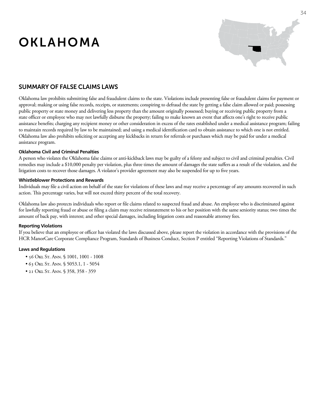# OKLAHOMA



### SUMMARY OF False ClaimS LAWS

Oklahoma law prohibits submitting false and fraudulent claims to the state. Violations include presenting false or fraudulent claims for payment or approval; making or using false records, receipts, or statements; conspiring to defraud the state by getting a false claim allowed or paid; possessing public property or state money and delivering less property than the amount originally possessed; buying or receiving public property from a state officer or employee who may not lawfully disburse the property; failing to make known an event that affects one's right to receive public assistance benefits; charging any recipient money or other consideration in excess of the rates established under a medical assistance program; failing to maintain records required by law to be maintained; and using a medical identification card to obtain assistance to which one is not entitled. Oklahoma law also prohibits soliciting or accepting any kickbacks in return for referrals or purchases which may be paid for under a medical assistance program.

#### **Oklahoma Civil and Criminal Penalties**

A person who violates the Oklahoma false claims or anti-kickback laws may be guilty of a felony and subject to civil and criminal penalties. Civil remedies may include a \$10,000 penalty per violation, plus three times the amount of damages the state suffers as a result of the violation, and the litigation costs to recover those damages. A violator's provider agreement may also be suspended for up to five years.

#### **Whistleblower Protections and Rewards**

Individuals may file a civil action on behalf of the state for violations of these laws and may receive a percentage of any amounts recovered in such action. This percentage varies, but will not exceed thirty percent of the total recovery.

Oklahoma law also protects individuals who report or file claims related to suspected fraud and abuse. An employee who is discriminated against for lawfully reporting fraud or abuse or filing a claim may receive reinstatement to his or her position with the same seniority status; two times the amount of back pay, with interest; and other special damages, including litigation costs and reasonable attorney fees.

#### **Reporting Violations**

If you believe that an employee or officer has violated the laws discussed above, please report the violation in accordance with the provisions of the HCR ManorCare Corporate Compliance Program, Standards of Business Conduct, Section P entitled "Reporting Violations of Standards."

- 56 Okl St. Ann. § 1001, 1001 1008
- 63 Okl St. Ann. § 5053.1, 1 5054
- 21 Okl St. Ann. § 358, 358 359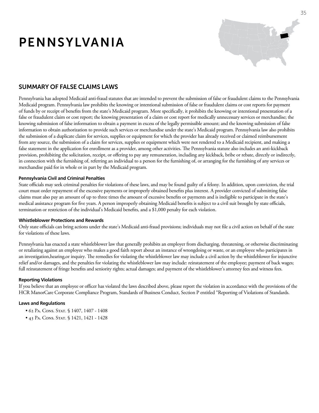# PENNSYLVANIA



### SUMMARY OF False ClaimS LAWS

Pennsylvania has adopted Medicaid anti-fraud statutes that are intended to prevent the submission of false or fraudulent claims to the Pennsylvania Medicaid program. Pennsylvania law prohibits the knowing or intentional submission of false or fraudulent claims or cost reports for payment of funds by or receipt of benefits from the state's Medicaid program. More specifically, it prohibits the knowing or intentional presentation of a false or fraudulent claim or cost report; the knowing presentation of a claim or cost report for medically unnecessary services or merchandise; the knowing submission of false information to obtain a payment in excess of the legally permissible amount; and the knowing submission of false information to obtain authorization to provide such services or merchandise under the state's Medicaid program. Pennsylvania law also prohibits the submission of a duplicate claim for services, supplies or equipment for which the provider has already received or claimed reimbursement from any source, the submission of a claim for services, supplies or equipment which were not rendered to a Medicaid recipient, and making a false statement in the application for enrollment as a provider, among other activities. The Pennsylvania statute also includes an anti-kickback provision, prohibiting the solicitation, receipt, or offering to pay any remuneration, including any kickback, bribe or rebate, directly or indirectly, in connection with the furnishing of, referring an individual to a person for the furnishing of, or arranging for the furnishing of any services or merchandise paid for in whole or in part by the Medicaid program.

#### **Pennsylvania Civil and Criminal Penalties**

State officials may seek criminal penalties for violations of these laws, and may be found guilty of a felony. In addition, upon conviction, the trial court must order repayment of the excessive payments or improperly obtained benefits plus interest. A provider convicted of submitting false claims must also pay an amount of up to three times the amount of excessive benefits or payments and is ineligible to participate in the state's medical assistance program for five years. A person improperly obtaining Medicaid benefits is subject to a civil suit brought by state officials, termination or restriction of the individual's Medicaid benefits, and a \$1,000 penalty for each violation.

#### **Whistleblower Protections and Rewards**

Only state officials can bring actions under the state's Medicaid anti-fraud provisions; individuals may not file a civil action on behalf of the state for violations of these laws.

Pennsylvania has enacted a state whistleblower law that generally prohibits an employer from discharging, threatening, or otherwise discriminating or retaliating against an employee who makes a good faith report about an instance of wrongdoing or waste, or an employee who participates in an investigation,hearing,or inquiry. The remedies for violating the whistleblower law may include a civil action by the whistleblower for injunctive relief and/or damages, and the penalties for violating the whistleblower law may include: reinstatement of the employee; payment of back wages; full reinstatement of fringe benefits and seniority rights; actual damages; and payment of the whistleblower's attorney fees and witness fees.

#### **Reporting Violations**

If you believe that an employee or officer has violated the laws described above, please report the violation in accordance with the provisions of the HCR ManorCare Corporate Compliance Program, Standards of Business Conduct, Section P entitled "Reporting of Violations of Standards.

- 62 PA. CONS. STAT. § 1407, 1407 1408
- 43 PA. CONS. STAT. § 1421, 1421 1428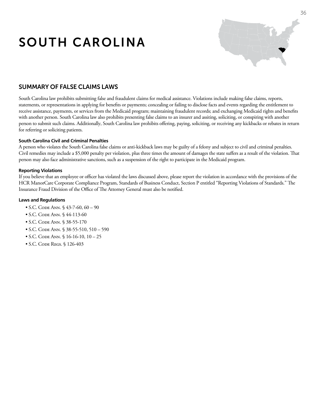# SOUTH CAROLINA



### SUMMARY OF False ClaimS LAWS

South Carolina law prohibits submitting false and fraudulent claims for medical assistance. Violations include making false claims, reports, statements, or representations in applying for benefits or payments; concealing or failing to disclose facts and events regarding the entitlement to receive assistance, payments, or services from the Medicaid program; maintaining fraudulent records; and exchanging Medicaid rights and benefits with another person. South Carolina law also prohibits presenting false claims to an insurer and assiting, soliciting, or conspiring with another person to submit such claims. Additionally, South Carolina law prohibits offering, paying, soliciting, or receiving any kickbacks or rebates in return for referring or soliciting patients.

#### **South Carolina Civil and Criminal Penalties**

A person who violates the South Carolina false claims or anti-kickback laws may be guilty of a felony and subject to civil and criminal penalties. Civil remedies may include a \$5,000 penalty per violation, plus three times the amount of damages the state suffers as a result of the violation. That person may also face administrative sanctions, such as a suspension of the right to participate in the Medicaid program.

#### **Reporting Violations**

If you believe that an employee or officer has violated the laws discussed above, please report the violation in accordance with the provisions of the HCR ManorCare Corporate Compliance Program, Standards of Business Conduct, Section P entitled "Reporting Violations of Standards." The Insurance Fraud Division of the Office of The Attorney General must also be notified.

- S.C. CODE ANN. § 43-7-60, 60 90
- S.C. CODE ANN. § 44-113-60
- S.C. CODE ANN. § 38-55-170
- S.C. Code Ann. § 38-55-510, 510 590
- $\bullet$  S.C. CODE ANN.  $\$16-16-10, 10-25$
- S.C. Code Regs. § 126-403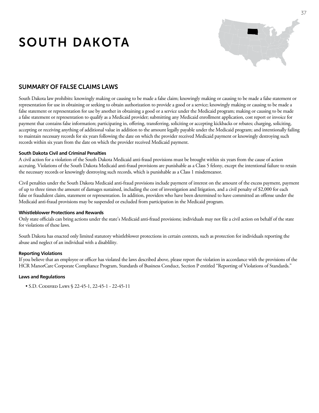# SOUTH DAKOTA



### SUMMARY OF False ClaimS LAWS

South Dakota law prohibits: knowingly making or causing to be made a false claim; knowingly making or causing to be made a false statement or representation for use in obtaining or seeking to obtain authorization to provide a good or a service; knowingly making or causing to be made a false statement or representation for use by another in obtaining a good or a service under the Medicaid program; making or causing to be made a false statement or representation to qualify as a Medicaid provider; submitting any Medicaid enrollment application, cost report or invoice for payment that contains false information; participating in, offering, transferring, soliciting or accepting kickbacks or rebates; charging, soliciting, accepting or receiving anything of additional value in addition to the amount legally payable under the Medicaid program; and intentionally failing to maintain necessary records for six years following the date on which the provider received Medicaid payment or knowingly destroying such records within six years from the date on which the provider received Medicaid payment.

#### **South Dakota Civil and Criminal Penalties**

A civil action for a violation of the South Dakota Medicaid anti-fraud provisions must be brought within six years from the cause of action accruing. Violations of the South Dakota Medicaid anti-fraud provisions are punishable as a Class 5 felony, except the intentional failure to retain the necessary records or knowingly destroying such records, which is punishable as a Class 1 misdemeanor.

Civil penalties under the South Dakota Medicaid anti-fraud provisions include payment of interest on the amount of the excess payment, payment of up to three times the amount of damages sustained, including the cost of investigation and litigation, and a civil penalty of \$2,000 for each false or fraudulent claim, statement or representation. In addition, providers who have been determined to have committed an offense under the Medicaid anti-fraud provisions may be suspended or excluded from participation in the Medicaid program.

#### **Whistleblower Protections and Rewards**

Only state officials can bring actions under the state's Medicaid anti-fraud provisions; individuals may not file a civil action on behalf of the state for violations of these laws.

South Dakota has enacted only limited statutory whistleblower protections in certain contexts, such as protection for individuals reporting the abuse and neglect of an individual with a disablility.

#### **Reporting Violations**

If you believe that an employee or officer has violated the laws described above, please report the violation in accordance with the provisions of the HCR ManorCare Corporate Compliance Program, Standards of Business Conduct, Section P entitled "Reporting of Violations of Standards."

```
	 • S.D. Codified Laws § 22-45-1, 22-45-1 - 22-45-11
```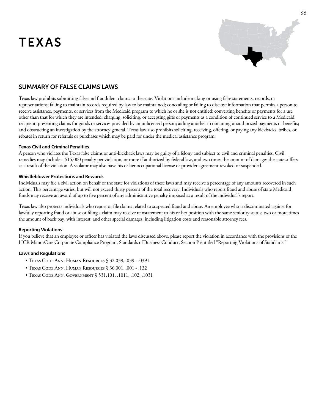# TEXAS



### SUMMARY OF False ClaimS LAWS

Texas law prohibits submitting false and fraudulent claims to the state. Violations include making or using false statements, records, or representations; failing to maintain records required by law to be maintained; concealing or failing to disclose information that permits a person to receive assistance, payments, or services from the Medicaid program to which he or she is not entitled; converting benefits or payments for a use other than that for which they are intended; charging, soliciting, or accepting gifts or payments as a condition of continued service to a Medicaid recipient; presenting claims for goods or services provided by an unlicensed person; aiding another in obtaining unauthorized payments or benefits; and obstructing an investigation by the attorney general. Texas law also prohibits soliciting, receiving, offering, or paying any kickbacks, bribes, or rebates in return for referrals or purchases which may be paid for under the medical assistance program.

#### **Texas Civil and Criminal Penalties**

A person who violates the Texas false claims or anti-kickback laws may be guilty of a felony and subject to civil and criminal penalties. Civil remedies may include a \$15,000 penalty per violation, or more if authorized by federal law, and two times the amount of damages the state suffers as a result of the violation. A violator may also have his or her occupational license or provider agreement revoked or suspended.

#### **Whistleblower Protections and Rewards**

Individuals may file a civil action on behalf of the state for violations of these laws and may receive a percentage of any amounts recovered in such action. This percentage varies, but will not exceed thirty percent of the total recovery. Individuals who report fraud and abuse of state Medicaid funds may receive an award of up to five percent of any administrative penalty imposed as a result of the individual's report.

Texas law also protects individuals who report or file claims related to suspected fraud and abuse. An employee who is discriminated against for lawfully reporting fraud or abuse or filing a claim may receive reinstatement to his or her position with the same seniority status; two or more times the amount of back pay, with interest; and other special damages, including litigation costs and reasonable attorney fees.

#### **Reporting Violations**

If you believe that an employee or officer has violated the laws discussed above, please report the violation in accordance with the provisions of the HCR ManorCare Corporate Compliance Program, Standards of Business Conduct, Section P entitled "Reporting Violations of Standards."

- Texas Code Ann. Human Resources § 32.039, .039 .0391
- Texas Code Ann. Human Resources § 36.001, .001 .132
- Texas Code Ann. Government § 531.101, .1011, .102, .1031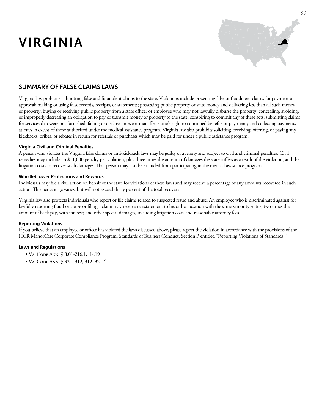# VIRGINIA



### SUMMARY OF False ClaimS LAWS

Virginia law prohibits submitting false and fraudulent claims to the state. Violations include presenting false or fraudulent claims for payment or approval; making or using false records, receipts, or statements; possessing public property or state money and delivering less than all such money or property; buying or receiving public property from a state officer or employee who may not lawfully disburse the property; concealing, avoiding, or improperly decreasing an obligation to pay or transmit money or property to the state; conspiring to commit any of these acts; submitting claims for services that were not furnished; failing to disclose an event that affects one's right to continued benefits or payments; and collecting payments at rates in excess of those authorized under the medical assistance program. Virginia law also prohibits soliciting, receiving, offering, or paying any kickbacks, bribes, or rebates in return for referrals or purchases which may be paid for under a public assistance program.

#### **Virginia Civil and Criminal Penalties**

A person who violates the Virginia false claims or anti-kickback laws may be guilty of a felony and subject to civil and criminal penalties. Civil remedies may include an \$11,000 penalty per violation, plus three times the amount of damages the state suffers as a result of the violation, and the litigation costs to recover such damages. That person may also be excluded from participating in the medical assistance program.

#### **Whistleblower Protections and Rewards**

Individuals may file a civil action on behalf of the state for violations of these laws and may receive a percentage of any amounts recovered in such action. This percentage varies, but will not exceed thirty percent of the total recovery.

Virginia law also protects individuals who report or file claims related to suspected fraud and abuse. An employee who is discriminated against for lawfully reporting fraud or abuse or filing a claim may receive reinstatement to his or her position with the same seniority status; two times the amount of back pay, with interest; and other special damages, including litigation costs and reasonable attorney fees.

#### **Reporting Violations**

If you believe that an employee or officer has violated the laws discussed above, please report the violation in accordance with the provisions of the HCR ManorCare Corporate Compliance Program, Standards of Business Conduct, Section P entitled "Reporting Violations of Standards."

- Va. Code Ann. § 8.01-216.1, .1-.19
- Va. Code Ann. § 32.1-312, 312–321.4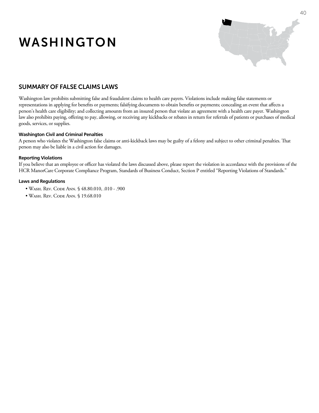# WASHINGTON



### SUMMARY OF False ClaimS LAWS

Washington law prohibits submitting false and fraudulent claims to health care payers. Violations include making false statements or representations in applying for benefits or payments; falsifying documents to obtain benefits or payments; concealing an event that affects a person's health care eligibility; and collecting amounts from an insured person that violate an agreement with a health care payer. Washington law also prohibits paying, offering to pay, allowing, or receiving any kickbacks or rebates in return for referrals of patients or purchases of medical goods, services, or supplies.

#### **Washington Civil and Criminal Penalties**

A person who violates the Washington false claims or anti-kickback laws may be guilty of a felony and subject to other criminal penalties. That person may also be liable in a civil action for damages.

#### **Reporting Violations**

If you believe that an employee or officer has violated the laws discussed above, please report the violation in accordance with the provisions of the HCR ManorCare Corporate Compliance Program, Standards of Business Conduct, Section P entitled "Reporting Violations of Standards."

- Wash. Rev. Code Ann. § 48.80.010, .010 .900
- WASH. REV. CODE ANN. § 19.68.010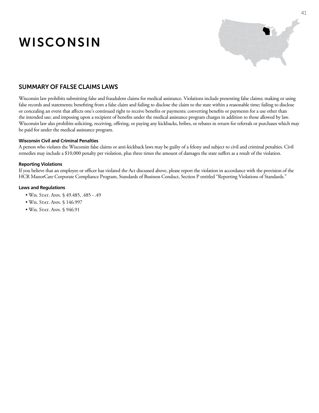# WISCONSIN



### SUMMARY OF False ClaimS LAWS

Wisconsin law prohibits submitting false and fraudulent claims for medical assistance. Violations include presenting false claims; making or using false records and statements; benefiting from a false claim and failing to disclose the claim to the state within a reasonable time; failing to disclose or concealing an event that affects one's continued right to receive benefits or payments; converting benefits or payments for a use other than the intended use; and imposing upon a recipient of benefits under the medical assistance program charges in addition to those allowed by law. Wisconsin law also prohibits soliciting, receiving, offering, or paying any kickbacks, bribes, or rebates in return for referrals or purchases which may be paid for under the medical assistance program.

#### **Wisconsin Civil and Criminal Penalties**

A person who violates the Wisconsin false claims or anti-kickback laws may be guilty of a felony and subject to civil and criminal penalties. Civil remedies may include a \$10,000 penalty per violation, plus three times the amount of damages the state suffers as a result of the violation.

#### **Reporting Violations**

If you believe that an employee or officer has violated the Act discussed above, please report the violation in accordance with the provision of the HCR ManorCare Corporate Compliance Program, Standards of Business Conduct, Section P entitled "Reporting Violations of Standards."

- Wis. Stat. Ann. § 49.485, .485 .49
- WIS. STAT. ANN. § 146.997
- WIS. STAT. ANN. § 946.91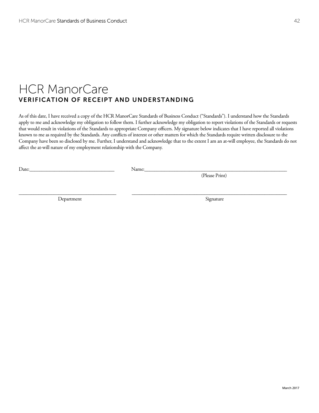### HCR ManorCare VERIFICATION OF RECEIPT AND UNDERSTANDING

As of this date, I have received a copy of the HCR ManorCare Standards of Business Conduct ("Standards"). I understand how the Standards apply to me and acknowledge my obligation to follow them. I further acknowledge my obligation to report violations of the Standards or requests that would result in violations of the Standards to appropriate Company officers. My signature below indicates that I have reported all violations known to me as required by the Standards. Any conflicts of interest or other matters for which the Standards require written disclosure to the Company have been so disclosed by me. Further, I understand and acknowledge that to the extent I am an at-will employee, the Standards do not affect the at-will nature of my employment relationship with the Company.

\_\_\_\_\_\_\_\_\_\_\_\_\_\_\_\_\_\_\_\_\_\_\_\_\_\_\_\_\_\_\_\_\_\_\_\_\_\_\_ \_\_\_\_\_\_\_\_\_\_\_\_\_\_\_\_\_\_\_\_\_\_\_\_\_\_\_\_\_\_\_\_\_\_\_\_\_\_\_\_\_\_\_\_\_\_\_\_\_\_\_\_\_\_\_\_\_\_\_\_\_\_

Date:\_\_\_\_\_\_\_\_\_\_\_\_\_\_\_\_\_\_\_\_\_\_\_\_\_\_\_\_\_\_\_\_\_\_ Name:\_\_\_\_\_\_\_\_\_\_\_\_\_\_\_\_\_\_\_\_\_\_\_\_\_\_\_\_\_\_\_\_\_\_\_\_\_\_\_\_\_\_\_\_\_\_\_\_\_\_\_\_\_\_\_\_\_

(Please Print)

Department Signature